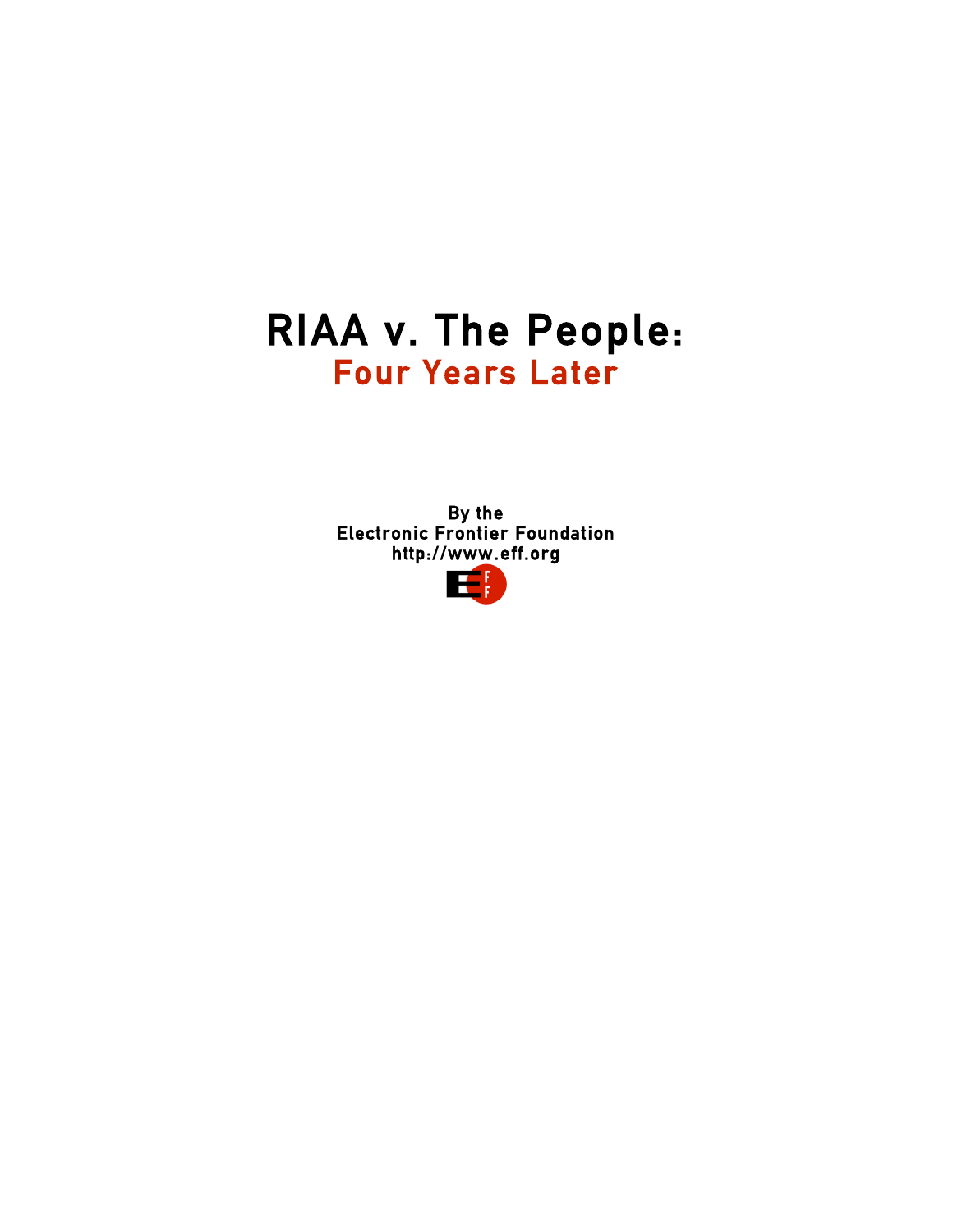# RIAA v. The People:<br>Four Years Later

 By the Electronic Frontier Foundation http://www.eff.org

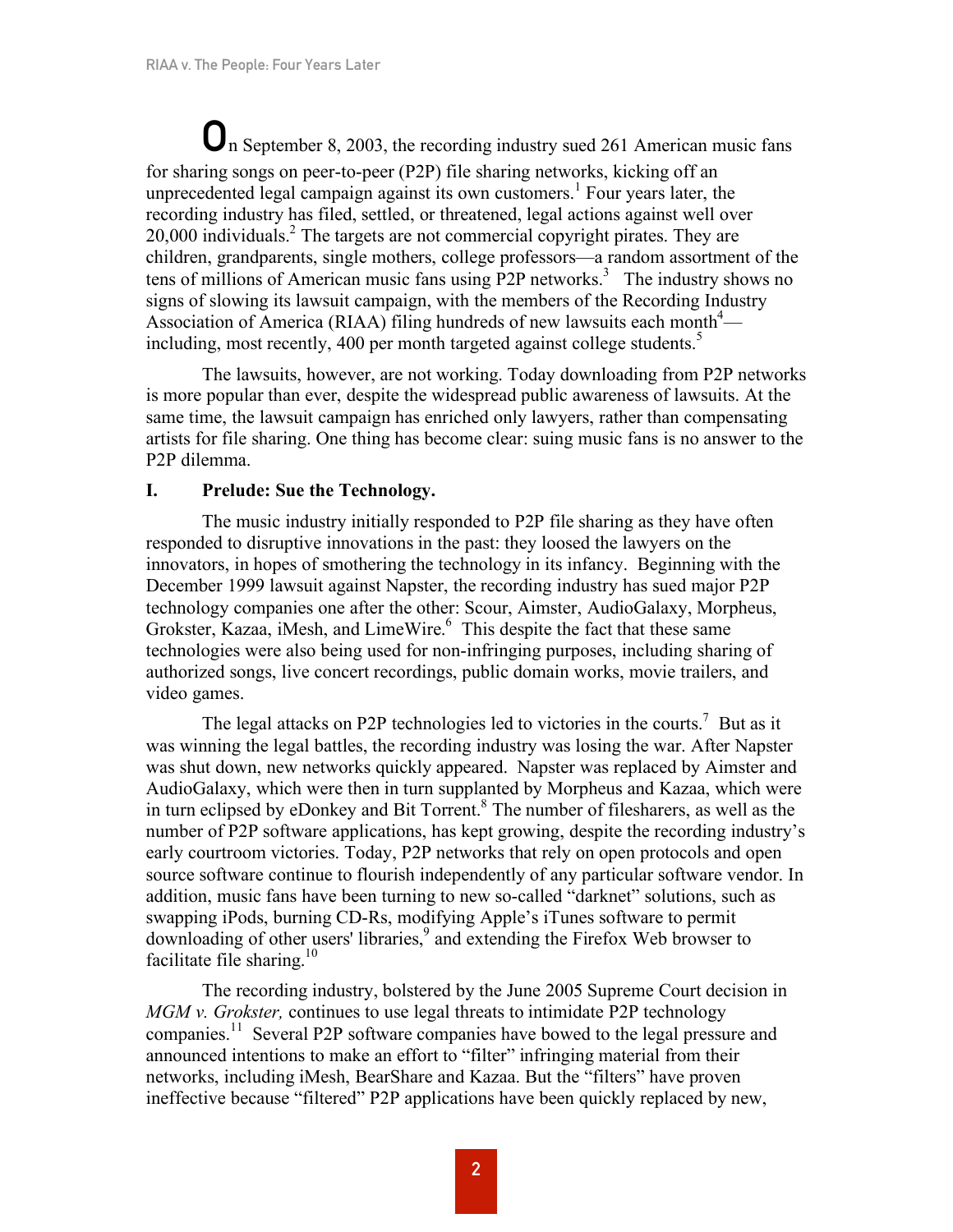On September 8, 2003, the recording industry sued 261 American music fans for sharing songs on peer-to-peer (P2P) file sharing networks, kicking off an unprecedented legal campaign against its own customers.<sup>1</sup> Four years later, the recording industry has filed, settled, or threatened, legal actions against well over  $20,000$  individuals.<sup>2</sup> The targets are not commercial copyright pirates. They are children, grandparents, single mothers, college professors—a random assortment of the tens of millions of American music fans using P2P networks. <sup>3</sup> The industry shows no signs of slowing its lawsuit campaign, with the members of the Recording Industry Association of America (RIAA) filing hundreds of new lawsuits each month<sup>4</sup> including, most recently, 400 per month targeted against college students.<sup>5</sup>

The lawsuits, however, are not working. Today downloading from P2P networks is more popular than ever, despite the widespread public awareness of lawsuits. At the same time, the lawsuit campaign has enriched only lawyers, rather than compensating artists for file sharing. One thing has become clear: suing music fans is no answer to the P2P dilemma.

## **I. Prelude: Sue the Technology.**

The music industry initially responded to P2P file sharing as they have often responded to disruptive innovations in the past: they loosed the lawyers on the innovators, in hopes of smothering the technology in its infancy. Beginning with the December 1999 lawsuit against Napster, the recording industry has sued major P2P technology companies one after the other: Scour, Aimster, AudioGalaxy, Morpheus, Grokster, Kazaa, iMesh, and LimeWire. <sup>6</sup> This despite the fact that these same technologies were also being used for non-infringing purposes, including sharing of authorized songs, live concert recordings, public domain works, movie trailers, and video games.

The legal attacks on P2P technologies led to victories in the courts.<sup>7</sup> But as it was winning the legal battles, the recording industry was losing the war. After Napster was shut down, new networks quickly appeared. Napster was replaced by Aimster and AudioGalaxy, which were then in turn supplanted by Morpheus and Kazaa, which were in turn eclipsed by eDonkey and Bit Torrent. <sup>8</sup> The number of filesharers, as well as the number of P2P software applications, has kept growing, despite the recording industry's early courtroom victories. Today, P2P networks that rely on open protocols and open source software continue to flourish independently of any particular software vendor. In addition, music fans have been turning to new so-called "darknet" solutions, such as swapping iPods, burning CD-Rs, modifying Apple's iTunes software to permit downloading of other users' libraries, <sup>9</sup> and extending the Firefox Web browser to facilitate file sharing.<sup>10</sup>

The recording industry, bolstered by the June 2005 Supreme Court decision in *MGM v. Grokster,* continues to use legal threats to intimidate P2P technology companies.<sup>11</sup> Several P2P software companies have bowed to the legal pressure and announced intentions to make an effort to "filter" infringing material from their networks, including iMesh, BearShare and Kazaa. But the "filters" have proven ineffective because "filtered" P2P applications have been quickly replaced by new,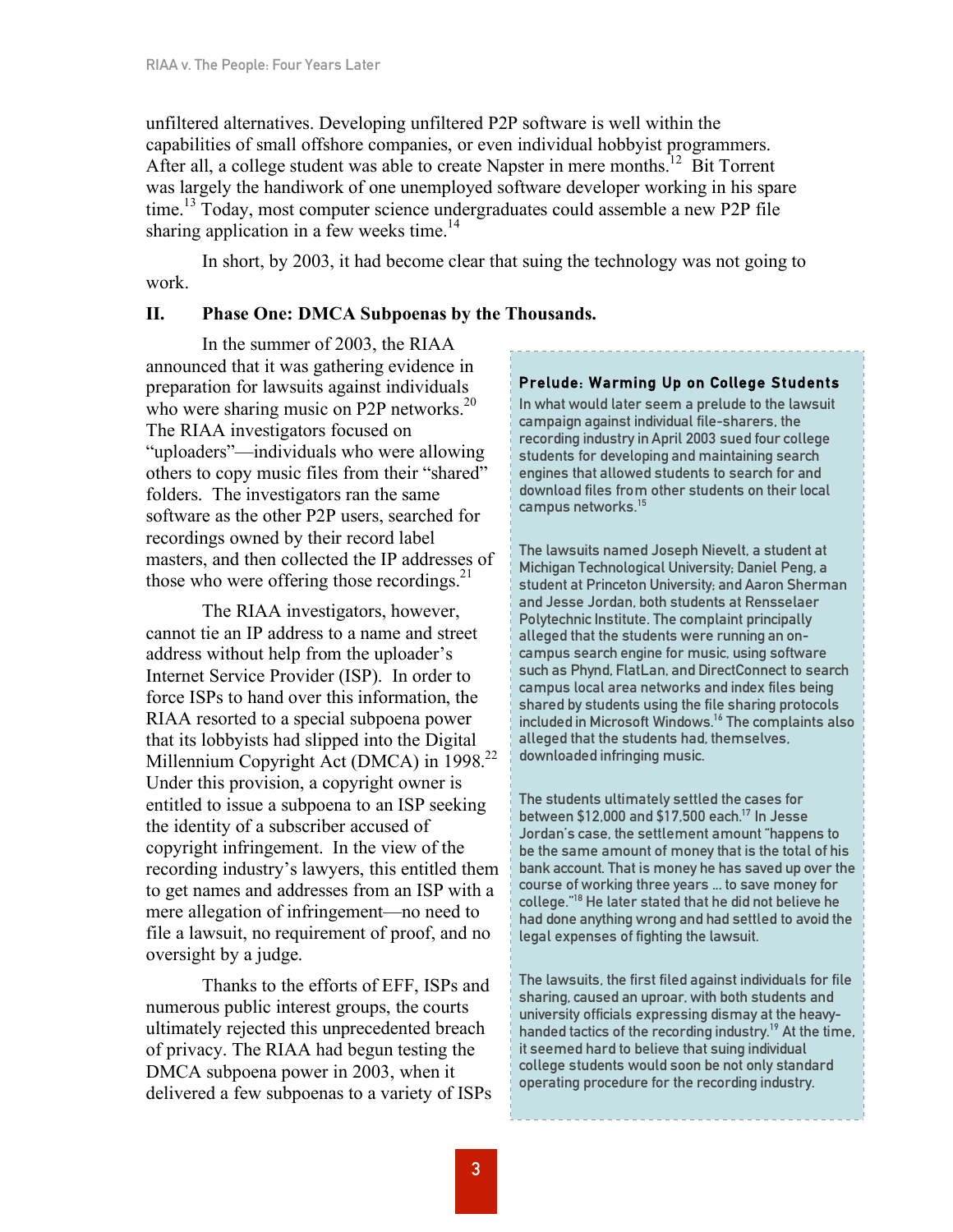unfiltered alternatives. Developing unfiltered P2P software is well within the capabilities of small offshore companies, or even individual hobbyist programmers. After all, a college student was able to create Napster in mere months.<sup>12</sup> Bit Torrent was largely the handiwork of one unemployed software developer working in his spare time.<sup>13</sup> Today, most computer science undergraduates could assemble a new P2P file sharing application in a few weeks time.<sup>14</sup>

In short, by 2003, it had become clear that suing the technology was not going to work.

## **II. Phase One: DMCA Subpoenas by the Thousands.**

In the summer of 2003, the RIAA announced that it was gathering evidence in preparation for lawsuits against individuals who were sharing music on P2P networks.<sup>20</sup> The RIAA investigators focused on "uploaders"—individuals who were allowing others to copy music files from their "shared" folders. The investigators ran the same software as the other P2P users, searched for recordings owned by their record label masters, and then collected the IP addresses of those who were offering those recordings. $^{21}$ 

The RIAA investigators, however, cannot tie an IP address to a name and street address without help from the uploader's Internet Service Provider (ISP). In order to force ISPs to hand over this information, the RIAA resorted to a special subpoena power that its lobbyists had slipped into the Digital Millennium Copyright Act (DMCA) in 1998.<sup>22</sup> Under this provision, a copyright owner is entitled to issue a subpoena to an ISP seeking the identity of a subscriber accused of copyright infringement. In the view of the recording industry's lawyers, this entitled them to get names and addresses from an ISP with a mere allegation of infringement—no need to file a lawsuit, no requirement of proof, and no oversight by a judge.

Thanks to the efforts of EFF, ISPs and numerous public interest groups, the courts ultimately rejected this unprecedented breach of privacy. The RIAA had begun testing the DMCA subpoena power in 2003, when it delivered a few subpoenas to a variety of ISPs

## Prelude: Warming Up on College Students

In what would later seem a prelude to the lawsuit campaign against individual file-sharers, the recording industry in April 2003 sued four college students for developing and maintaining search engines that allowed students to search for and download files from other students on their local campus networks. 15

The lawsuits named Joseph Nievelt, a student at Michigan Technological University; Daniel Peng, a student at Princeton University; and Aaron Sherman and Jesse Jordan, both students at Rensselaer Polytechnic Institute. The complaint principally alleged that the students were running an oncampus search engine for music, using software such as Phynd, FlatLan, and DirectConnect to search campus local area networks and index files being shared by students using the file sharing protocols included in Microsoft Windows. <sup>16</sup> The complaints also alleged that the students had, themselves, downloaded infringing music.

The students ultimately settled the cases for between \$12,000 and \$17,500 each. <sup>17</sup> In Jesse Jordan's case, the settlement amount "happens to be the same amount of money that is the total of his bank account. That is money he has saved up over the course of working three years ... to save money for college." <sup>18</sup> He later stated that he did not believe he had done anything wrong and had settled to avoid the legal expenses of fighting the lawsuit.

The lawsuits, the first filed against individuals for file sharing, caused an uproar, with both students and university officials expressing dismay at the heavyhanded tactics of the recording industry.<sup>19</sup> At the time, it seemed hard to believe that suing individual college students would soon be not only standard operating procedure for the recording industry.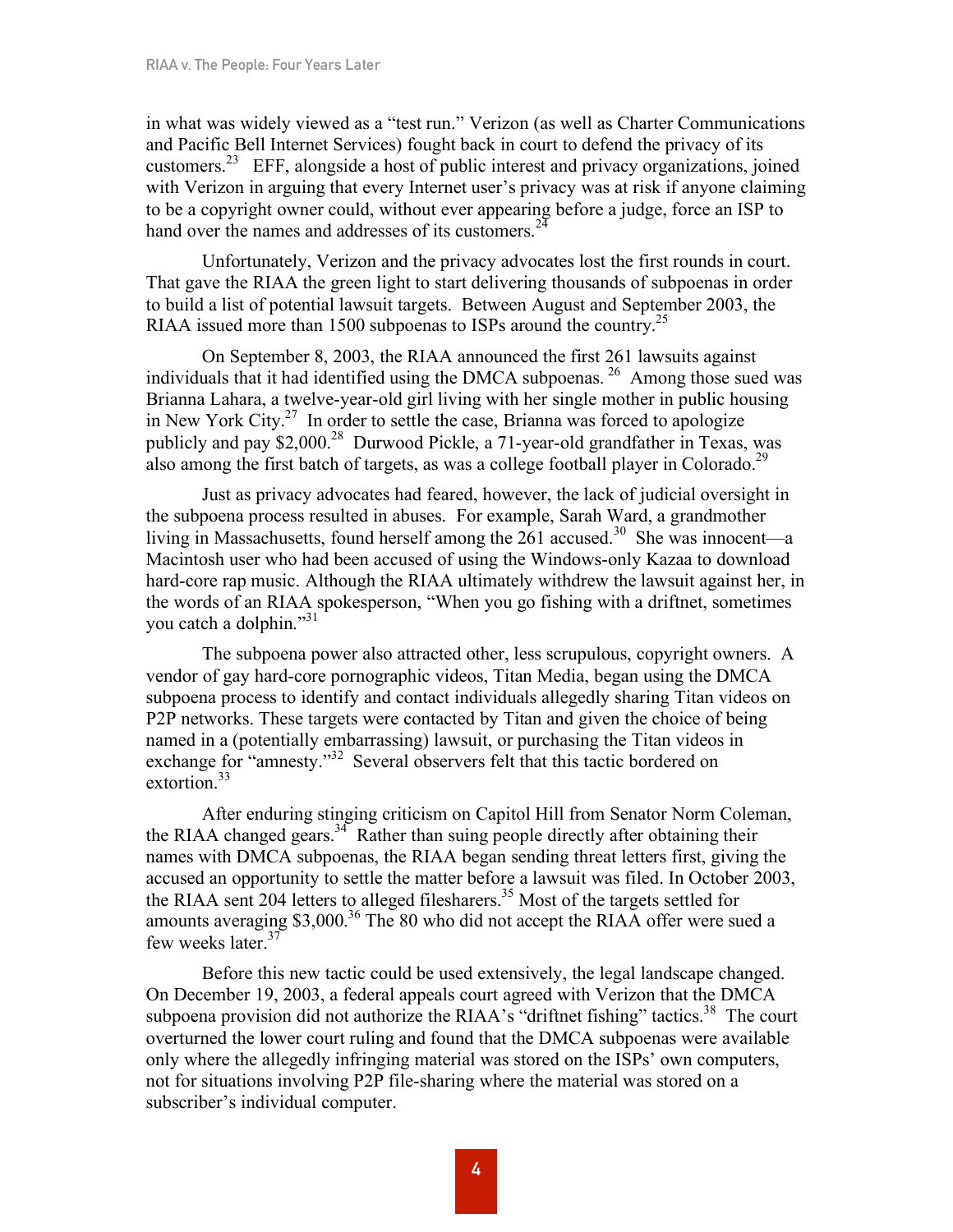in what was widely viewed as a "test run." Verizon (as well as Charter Communications and Pacific Bell Internet Services) fought back in court to defend the privacy of its customers.<sup>23</sup> EFF, alongside a host of public interest and privacy organizations, joined with Verizon in arguing that every Internet user's privacy was at risk if anyone claiming to be a copyright owner could, without ever appearing before a judge, force an ISP to hand over the names and addresses of its customers.<sup>24</sup>

Unfortunately, Verizon and the privacy advocates lost the first rounds in court. That gave the RIAA the green light to start delivering thousands of subpoenas in order to build a list of potential lawsuit targets. Between August and September 2003, the RIAA issued more than 1500 subpoenas to ISPs around the country.<sup>25</sup>

On September 8, 2003, the RIAA announced the first 261 lawsuits against individuals that it had identified using the DMCA subpoenas. <sup>26</sup> Among those sued was Brianna Lahara, a twelve-year-old girl living with her single mother in public housing in New York City. <sup>27</sup> In order to settle the case, Brianna was forced to apologize publicly and pay \$2,000.28 Durwood Pickle, a 71-year-old grandfather in Texas, was also among the first batch of targets, as was a college football player in Colorado.<sup>29</sup>

Just as privacy advocates had feared, however, the lack of judicial oversight in the subpoena process resulted in abuses. For example, Sarah Ward, a grandmother living in Massachusetts, found herself among the 261 accused.<sup>30</sup> She was innocent—a Macintosh user who had been accused of using the Windows-only Kazaa to download hard-core rap music. Although the RIAA ultimately withdrew the lawsuit against her, in the words of an RIAA spokesperson, "When you go fishing with a driftnet, sometimes you catch a dolphin."<sup>31</sup>

The subpoena power also attracted other, less scrupulous, copyright owners. A vendor of gay hard-core pornographic videos, Titan Media, began using the DMCA subpoena process to identify and contact individuals allegedly sharing Titan videos on P2P networks. These targets were contacted by Titan and given the choice of being named in a (potentially embarrassing) lawsuit, or purchasing the Titan videos in exchange for "amnesty."<sup>32</sup> Several observers felt that this tactic bordered on extortion.<sup>33</sup>

After enduring stinging criticism on Capitol Hill from Senator Norm Coleman, the RIAA changed gears.<sup>34</sup> Rather than suing people directly after obtaining their names with DMCA subpoenas, the RIAA began sending threat letters first, giving the accused an opportunity to settle the matter before a lawsuit was filed. In October 2003, the RIAA sent 204 letters to alleged filesharers. <sup>35</sup> Most of the targets settled for amounts averaging \$3,000.<sup>36</sup> The 80 who did not accept the RIAA offer were sued a few weeks later.<sup>37</sup>

Before this new tactic could be used extensively, the legal landscape changed. On December 19, 2003, a federal appeals court agreed with Verizon that the DMCA subpoena provision did not authorize the RIAA's "driftnet fishing" tactics.<sup>38</sup> The court overturned the lower court ruling and found that the DMCA subpoenas were available only where the allegedly infringing material was stored on the ISPs' own computers, not for situations involving P2P file-sharing where the material was stored on a subscriber's individual computer.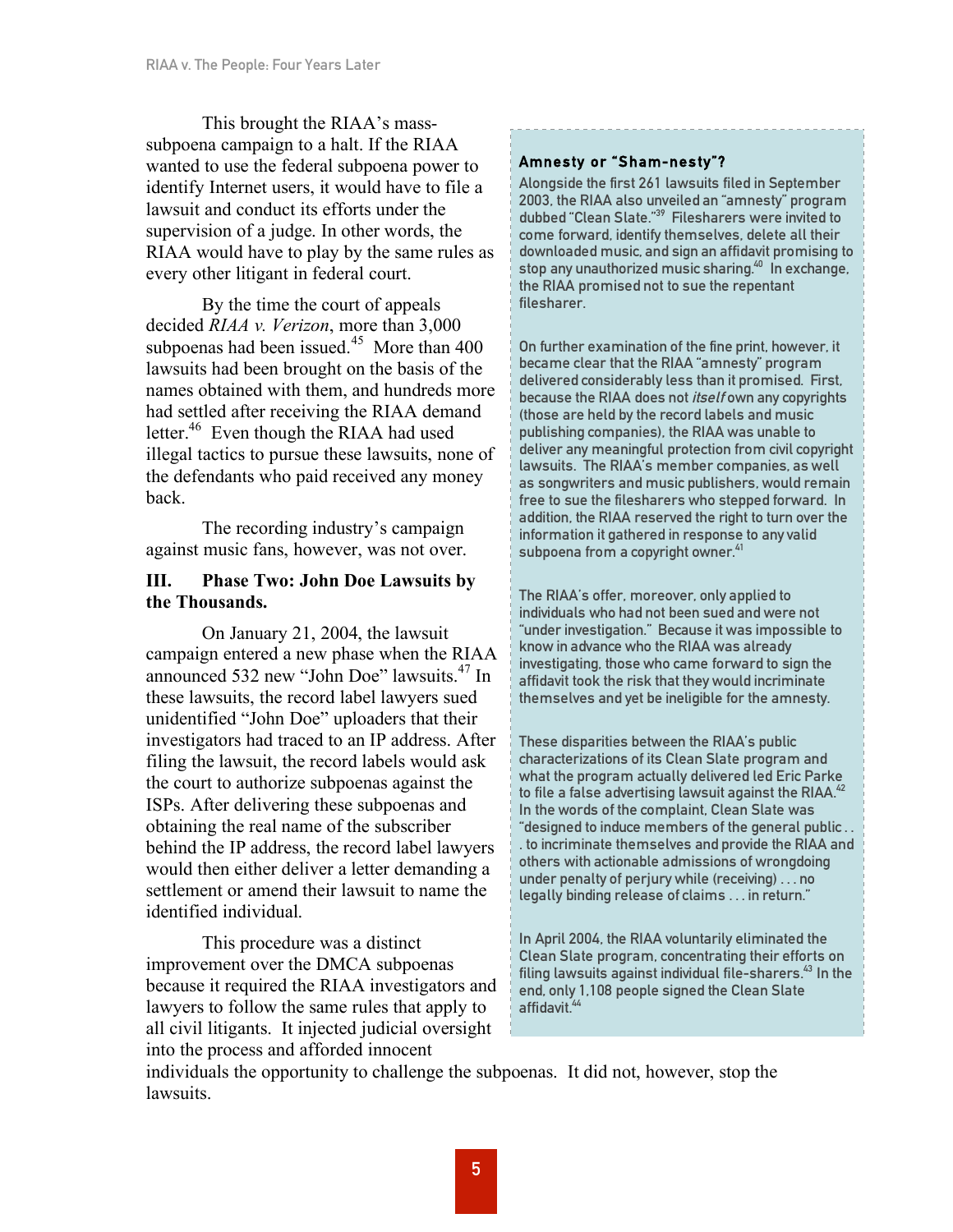This brought the RIAA's masssubpoena campaign to a halt. If the RIAA wanted to use the federal subpoena power to identify Internet users, it would have to file a lawsuit and conduct its efforts under the supervision of a judge. In other words, the RIAA would have to play by the same rules as every other litigant in federal court.

By the time the court of appeals decided *RIAA v. Verizon*, more than 3,000 subpoenas had been issued.<sup>45</sup> More than  $400$ lawsuits had been brought on the basis of the names obtained with them, and hundreds more had settled after receiving the RIAA demand letter.<sup>46</sup> Even though the RIAA had used illegal tactics to pursue these lawsuits, none of the defendants who paid received any money back.

The recording industry's campaign against music fans, however, was not over.

## **III. Phase Two: John Doe Lawsuits by the Thousands.**

On January 21, 2004, the lawsuit campaign entered a new phase when the RIAA announced 532 new "John Doe" lawsuits. <sup>47</sup> In these lawsuits, the record label lawyers sued unidentified "John Doe" uploaders that their investigators had traced to an IP address. After filing the lawsuit, the record labels would ask the court to authorize subpoenas against the ISPs. After delivering these subpoenas and obtaining the real name of the subscriber behind the IP address, the record label lawyers would then either deliver a letter demanding a settlement or amend their lawsuit to name the identified individual.

This procedure was a distinct improvement over the DMCA subpoenas because it required the RIAA investigators and lawyers to follow the same rules that apply to all civil litigants. It injected judicial oversight into the process and afforded innocent

# Amnesty or "Sham-nes ty"?

Alongside the first 261 lawsuits filed in September 2003, the RIAA also unveiled an "amnesty" program dubbed "Clean Slate." <sup>39</sup> Filesharers were invited to come forward, identify themselves, delete all their downloaded music, and sign an affidavit promising to stop any unauthorized music sharing. <sup>40</sup> In exchange, the RIAA promised not to sue the repentant filesharer.

On further examination of the fine print, however, it became clear that the RIAA "amnesty" program delivered considerably less than it promised. First, because the RIAA does not *itself* own any copyrights (those are held by the record labels and music publishing companies), the RIAA was unable to deliver any meaningful protection from civil copyright lawsuits. The RIAA's member companies, as well as songwriters and music publishers, would remain free to sue the filesharers who stepped forward. In addition, the RIAA reserved the right to turn over the information it gathered in response to any valid subpoena from a copyright owner.<sup>41</sup>

The RIAA's offer, moreover, only applied to individuals who had not been sued and were not "under investigation." Because it was impossible to know in advance who the RIAA was already investigating, those who came forward to sign the affidavit took the risk that they would incriminate themselves and yet be ineligible for the amnesty.

These disparities between the RIAA's public characterizations of its Clean Slate program and what the program actually delivered led Eric Parke to file a false advertising lawsuit against the RIAA. $^{42}$ In the words of the complaint, Clean Slate was "designed to induce members of the general public . . . to incriminate themselves and provide the RIAA and others with actionable admissions of wrongdoing under penalty of perjury while (receiving) . . . no legally binding release of claims . . . in return."

In April 2004, the RIAA voluntarily eliminated the Clean Slate program, concentrating their efforts on filing lawsuits against individual file-sharers. <sup>43</sup> In the end, only 1,108 people signed the Clean Slate affidavit. 44

individuals the opportunity to challenge the subpoenas. It did not, however, stop the lawsuits.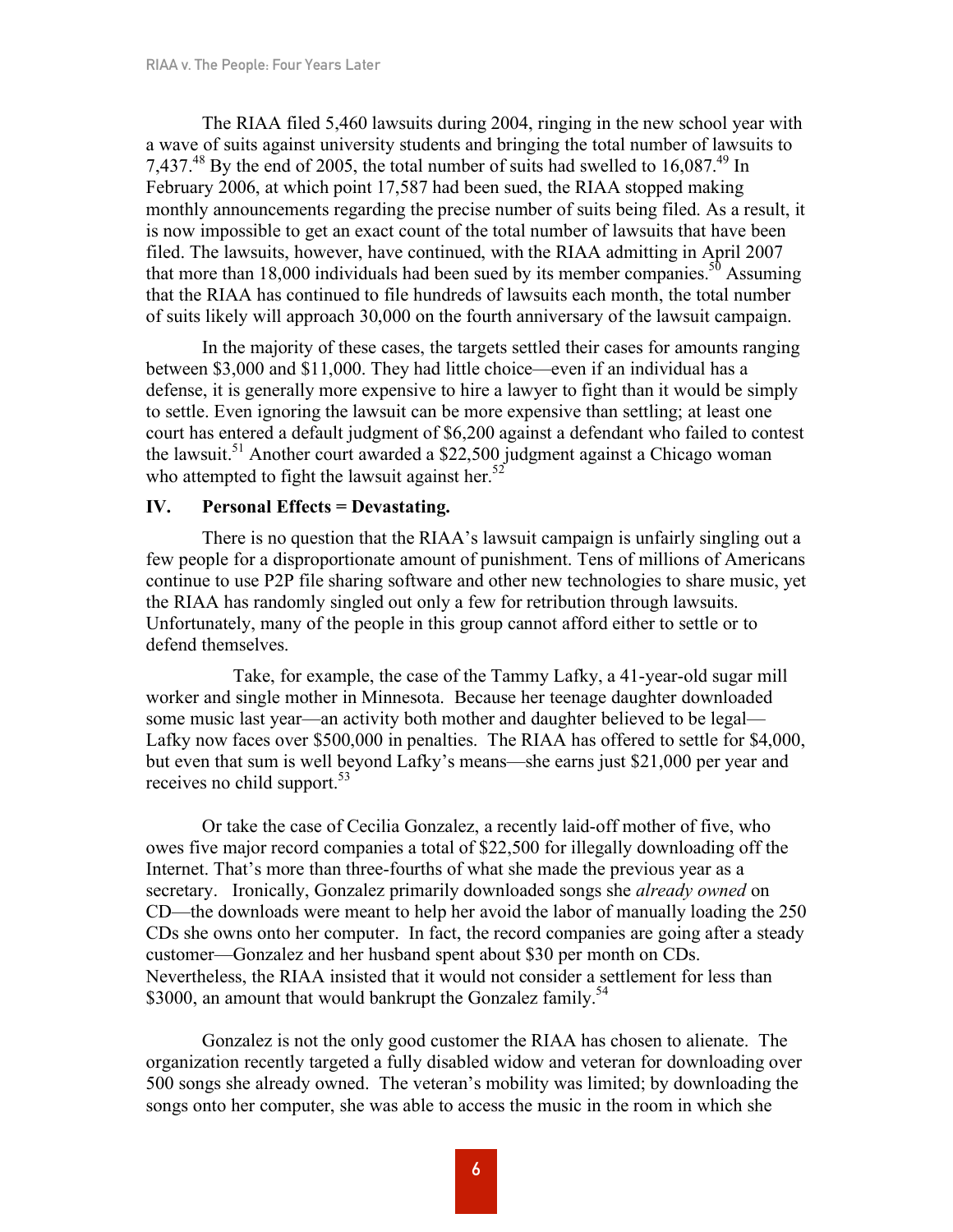The RIAA filed 5,460 lawsuits during 2004, ringing in the new school year with a wave of suits against university students and bringing the total number of lawsuits to 7,437.<sup>48</sup> By the end of 2005, the total number of suits had swelled to 16,087.<sup>49</sup> In February 2006, at which point 17,587 had been sued, the RIAA stopped making monthly announcements regarding the precise number of suits being filed. As a result, it is now impossible to get an exact count of the total number of lawsuits that have been filed. The lawsuits, however, have continued, with the RIAA admitting in April 2007 that more than 18,000 individuals had been sued by its member companies.<sup>50</sup> Assuming that the RIAA has continued to file hundreds of lawsuits each month, the total number of suits likely will approach 30,000 on the fourth anniversary of the lawsuit campaign.

In the majority of these cases, the targets settled their cases for amounts ranging between \$3,000 and \$11,000. They had little choice—even if an individual has a defense, it is generally more expensive to hire a lawyer to fight than it would be simply to settle. Even ignoring the lawsuit can be more expensive than settling; at least one court has entered a default judgment of \$6,200 against a defendant who failed to contest the lawsuit.<sup>51</sup> Another court awarded a \$22,500 judgment against a Chicago woman who attempted to fight the lawsuit against her.<sup>52</sup>

## **IV. Personal Effects = Devastating.**

There is no question that the RIAA's lawsuit campaign is unfairly singling out a few people for a disproportionate amount of punishment. Tens of millions of Americans continue to use P2P file sharing software and other new technologies to share music, yet the RIAA has randomly singled out only a few for retribution through lawsuits. Unfortunately, many of the people in this group cannot afford either to settle or to defend themselves.

Take, for example, the case of the Tammy Lafky, a 41-year-old sugar mill worker and single mother in Minnesota. Because her teenage daughter downloaded some music last year—an activity both mother and daughter believed to be legal— Lafky now faces over \$500,000 in penalties. The RIAA has offered to settle for \$4,000, but even that sum is well beyond Lafky's means—she earns just \$21,000 per year and receives no child support.<sup>53</sup>

Or take the case of Cecilia Gonzalez, a recently laid-off mother of five, who owes five major record companies a total of \$22,500 for illegally downloading off the Internet. That's more than three-fourths of what she made the previous year as a secretary. Ironically, Gonzalez primarily downloaded songs she *already owned* on CD—the downloads were meant to help her avoid the labor of manually loading the 250 CDs she owns onto her computer. In fact, the record companies are going after a steady customer—Gonzalez and her husband spent about \$30 per month on CDs. Nevertheless, the RIAA insisted that it would not consider a settlement for less than \$3000, an amount that would bankrupt the Gonzalez family.<sup>54</sup>

Gonzalez is not the only good customer the RIAA has chosen to alienate. The organization recently targeted a fully disabled widow and veteran for downloading over 500 songs she already owned. The veteran's mobility was limited; by downloading the songs onto her computer, she was able to access the music in the room in which she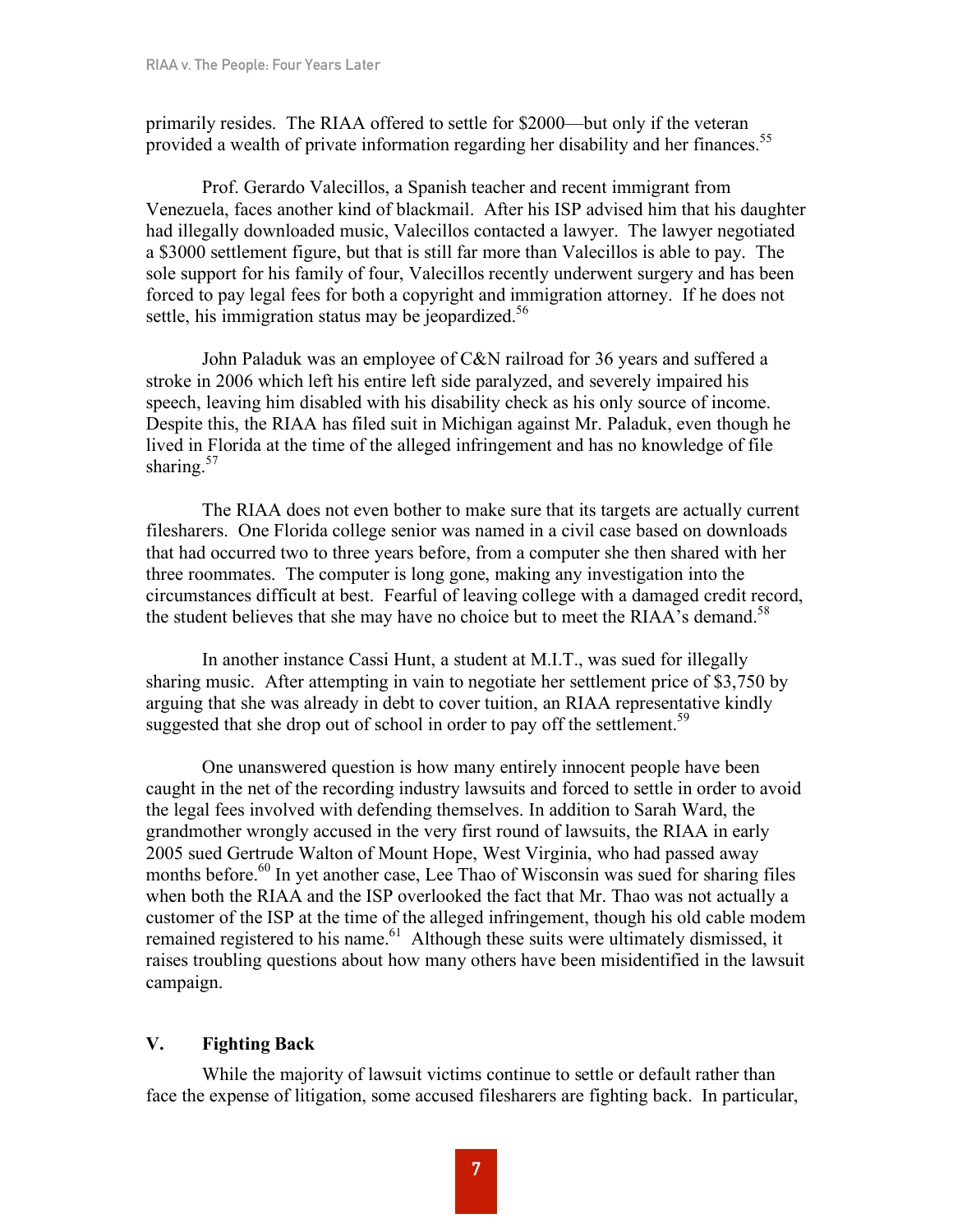primarily resides. The RIAA offered to settle for \$2000—but only if the veteran provided a wealth of private information regarding her disability and her finances.<sup>55</sup>

Prof. Gerardo Valecillos, a Spanish teacher and recent immigrant from Venezuela, faces another kind of blackmail. After his ISP advised him that his daughter had illegally downloaded music, Valecillos contacted a lawyer. The lawyer negotiated a \$3000 settlement figure, but that is still far more than Valecillos is able to pay. The sole support for his family of four, Valecillos recently underwent surgery and has been forced to pay legal fees for both a copyright and immigration attorney. If he does not settle, his immigration status may be jeopardized.<sup>56</sup>

John Paladuk was an employee of C&N railroad for 36 years and suffered a stroke in 2006 which left his entire left side paralyzed, and severely impaired his speech, leaving him disabled with his disability check as his only source of income. Despite this, the RIAA has filed suit in Michigan against Mr. Paladuk, even though he lived in Florida at the time of the alleged infringement and has no knowledge of file sharing. $57$ 

The RIAA does not even bother to make sure that its targets are actually current filesharers. One Florida college senior was named in a civil case based on downloads that had occurred two to three years before, from a computer she then shared with her three roommates. The computer is long gone, making any investigation into the circumstances difficult at best. Fearful of leaving college with a damaged credit record, the student believes that she may have no choice but to meet the RIAA's demand.<sup>58</sup>

In another instance Cassi Hunt, a student at M.I.T., was sued for illegally sharing music. After attempting in vain to negotiate her settlement price of \$3,750 by arguing that she was already in debt to cover tuition, an RIAA representative kindly suggested that she drop out of school in order to pay off the settlement.<sup>59</sup>

One unanswered question is how many entirely innocent people have been caught in the net of the recording industry lawsuits and forced to settle in order to avoid the legal fees involved with defending themselves. In addition to Sarah Ward, the grandmother wrongly accused in the very first round of lawsuits, the RIAA in early 2005 sued Gertrude Walton of Mount Hope, West Virginia, who had passed away months before. <sup>60</sup> In yet another case, Lee Thao of Wisconsin was sued for sharing files when both the RIAA and the ISP overlooked the fact that Mr. Thao was not actually a customer of the ISP at the time of the alleged infringement, though his old cable modem remained registered to his name.<sup>61</sup> Although these suits were ultimately dismissed, it raises troubling questions about how many others have been misidentified in the lawsuit campaign.

## **V. Fighting Back**

While the majority of lawsuit victims continue to settle or default rather than face the expense of litigation, some accused filesharers are fighting back. In particular,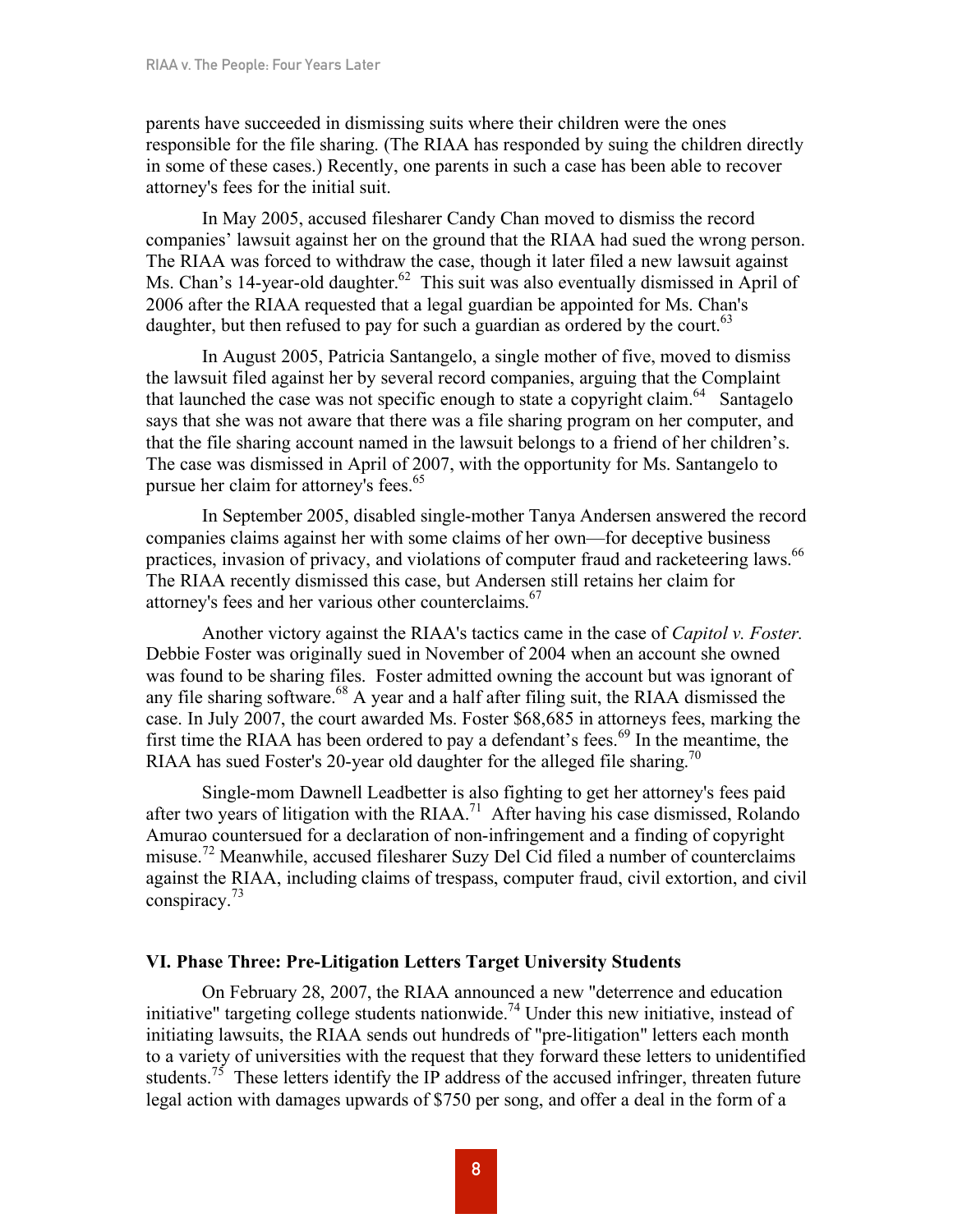parents have succeeded in dismissing suits where their children were the ones responsible for the file sharing. (The RIAA has responded by suing the children directly in some of these cases.) Recently, one parents in such a case has been able to recover attorney's fees for the initial suit.

In May 2005, accused filesharer Candy Chan moved to dismiss the record companies' lawsuit against her on the ground that the RIAA had sued the wrong person. The RIAA was forced to withdraw the case, though it later filed a new lawsuit against Ms. Chan's 14-year-old daughter.<sup>62</sup> This suit was also eventually dismissed in April of 2006 after the RIAA requested that a legal guardian be appointed for Ms. Chan's daughter, but then refused to pay for such a guardian as ordered by the court.<sup>63</sup>

In August 2005, Patricia Santangelo, a single mother of five, moved to dismiss the lawsuit filed against her by several record companies, arguing that the Complaint that launched the case was not specific enough to state a copyright claim. <sup>64</sup> Santagelo says that she was not aware that there was a file sharing program on her computer, and that the file sharing account named in the lawsuit belongs to a friend of her children's. The case was dismissed in April of 2007, with the opportunity for Ms. Santangelo to pursue her claim for attorney's fees.<sup>65</sup>

In September 2005, disabled single-mother Tanya Andersen answered the record companies claims against her with some claims of her own—for deceptive business practices, invasion of privacy, and violations of computer fraud and racketeering laws.<sup>66</sup> The RIAA recently dismissed this case, but Andersen still retains her claim for attorney's fees and her various other counterclaims.<sup>67</sup>

Another victory against the RIAA's tactics came in the case of *Capitol v. Foster.* Debbie Foster was originally sued in November of 2004 when an account she owned was found to be sharing files. Foster admitted owning the account but was ignorant of any file sharing software. <sup>68</sup> A year and a half after filing suit, the RIAA dismissed the case. In July 2007, the court awarded Ms. Foster \$68,685 in attorneys fees, marking the first time the RIAA has been ordered to pay a defendant's fees.<sup>69</sup> In the meantime, the RIAA has sued Foster's 20-year old daughter for the alleged file sharing.<sup>70</sup>

Single-mom Dawnell Leadbetter is also fighting to get her attorney's fees paid after two years of litigation with the RIAA.<sup>71</sup> After having his case dismissed, Rolando Amurao countersued for a declaration of non-infringement and a finding of copyright misuse.<sup>72</sup> Meanwhile, accused filesharer Suzy Del Cid filed a number of counterclaims against the RIAA, including claims of trespass, computer fraud, civil extortion, and civil conspiracy. 73

## **VI. Phase Three: Pre-Litigation Letters Target University Students**

On February 28, 2007, the RIAA announced a new "deterrence and education initiative" targeting college students nationwide.<sup>74</sup> Under this new initiative, instead of initiating lawsuits, the RIAA sends out hundreds of "pre-litigation" letters each month to a variety of universities with the request that they forward these letters to unidentified students.<sup>75</sup> These letters identify the IP address of the accused infringer, threaten future legal action with damages upwards of \$750 per song, and offer a deal in the form of a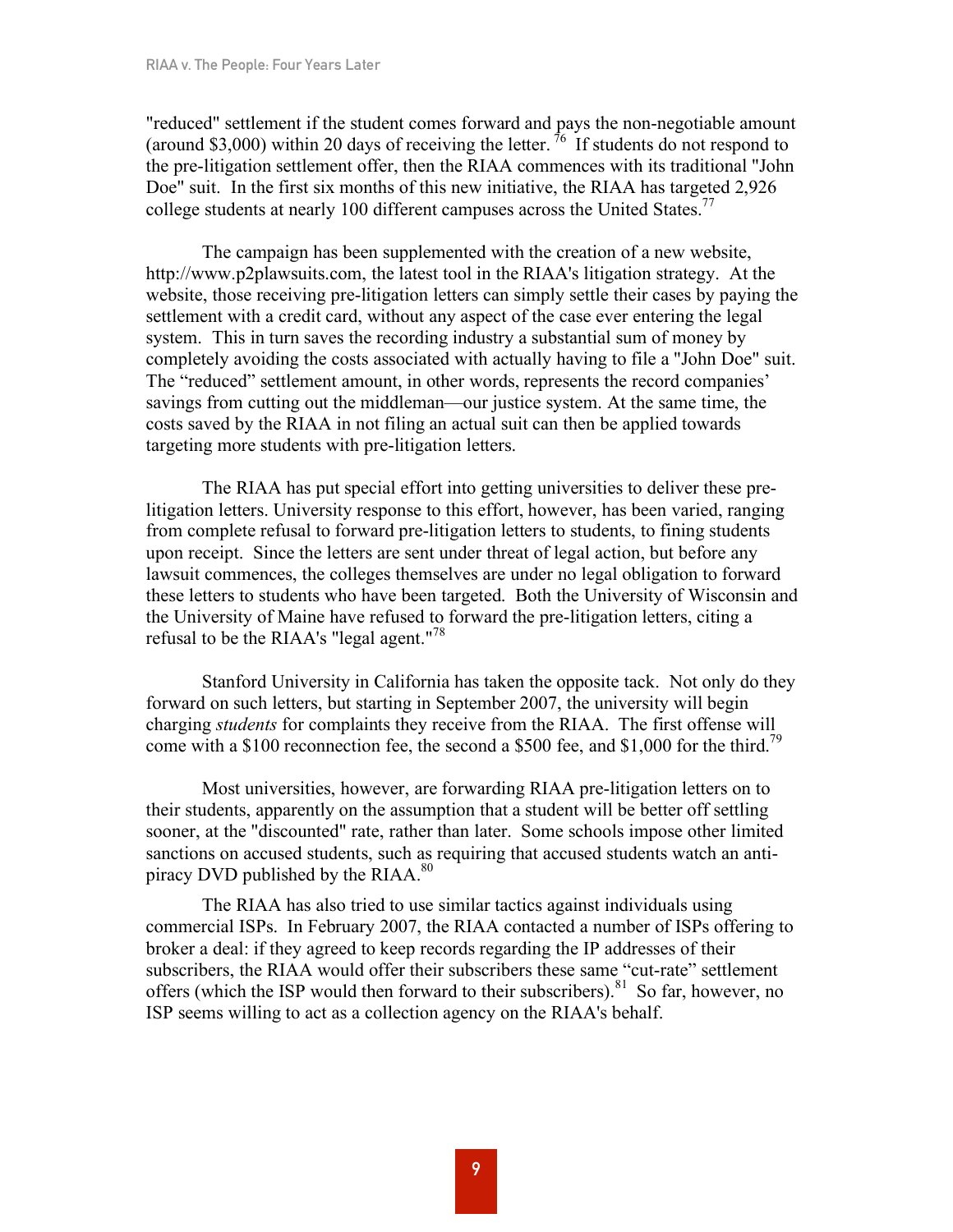"reduced" settlement if the student comes forward and pays the non-negotiable amount (around \$3,000) within 20 days of receiving the letter. <sup>76</sup> If students do not respond to the pre-litigation settlement offer, then the RIAA commences with its traditional "John Doe" suit. In the first six months of this new initiative, the RIAA has targeted 2,926 college students at nearly 100 different campuses across the United States.<sup>77</sup>

The campaign has been supplemented with the creation of a new website, http://www.p2plawsuits.com, the latest tool in the RIAA's litigation strategy. At the website, those receiving pre-litigation letters can simply settle their cases by paying the settlement with a credit card, without any aspect of the case ever entering the legal system. This in turn saves the recording industry a substantial sum of money by completely avoiding the costs associated with actually having to file a "John Doe" suit. The "reduced" settlement amount, in other words, represents the record companies' savings from cutting out the middleman—our justice system. At the same time, the costs saved by the RIAA in not filing an actual suit can then be applied towards targeting more students with pre-litigation letters.

The RIAA has put special effort into getting universities to deliver these prelitigation letters. University response to this effort, however, has been varied, ranging from complete refusal to forward pre-litigation letters to students, to fining students upon receipt. Since the letters are sent under threat of legal action, but before any lawsuit commences, the colleges themselves are under no legal obligation to forward these letters to students who have been targeted. Both the University of Wisconsin and the University of Maine have refused to forward the pre-litigation letters, citing a refusal to be the RIAA's "legal agent."<sup>78</sup>

Stanford University in California has taken the opposite tack. Not only do they forward on such letters, but starting in September 2007, the university will begin charging *students* for complaints they receive from the RIAA. The first offense will come with a \$100 reconnection fee, the second a \$500 fee, and \$1,000 for the third.<sup>79</sup>

Most universities, however, are forwarding RIAA pre-litigation letters on to their students, apparently on the assumption that a student will be better off settling sooner, at the "discounted" rate, rather than later. Some schools impose other limited sanctions on accused students, such as requiring that accused students watch an antipiracy DVD published by the  $RIAA$ .<sup>80</sup>

The RIAA has also tried to use similar tactics against individuals using commercial ISPs. In February 2007, the RIAA contacted a number of ISPs offering to broker a deal: if they agreed to keep records regarding the IP addresses of their subscribers, the RIAA would offer their subscribers these same "cut-rate" settlement offers (which the ISP would then forward to their subscribers).<sup>81</sup> So far, however, no ISP seems willing to act as a collection agency on the RIAA's behalf.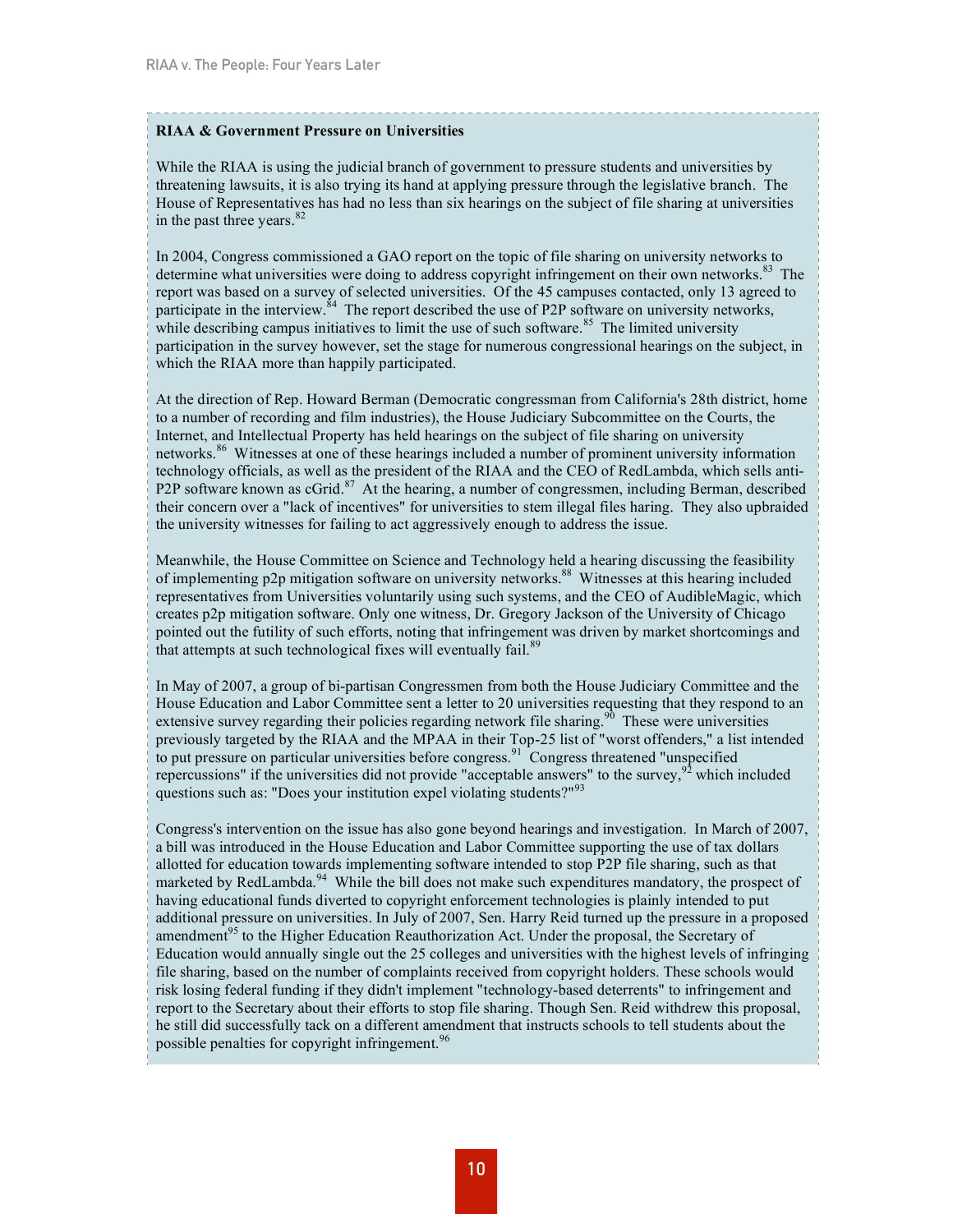#### **RIAA & Government Pressure on Universities**

While the RIAA is using the judicial branch of government to pressure students and universities by threatening lawsuits, it is also trying its hand at applying pressure through the legislative branch. The House of Representatives has had no less than six hearings on the subject of file sharing at universities in the past three years. 82

In 2004, Congress commissioned a GAO report on the topic of file sharing on university networks to determine what universities were doing to address copyright infringement on their own networks.<sup>83</sup> The report was based on a survey of selected universities. Of the 45 campuses contacted, only 13 agreed to participate in the interview.<sup>84</sup> The report described the use of P2P software on university networks, while describing campus initiatives to limit the use of such software.<sup>85</sup> The limited university participation in the survey however, set the stage for numerous congressional hearings on the subject, in which the RIAA more than happily participated.

At the direction of Rep. Howard Berman (Democratic congressman from California's 28th district, home to a number of recording and film industries), the House Judiciary Subcommittee on the Courts, the Internet, and Intellectual Property has held hearings on the subject of file sharing on university networks. <sup>86</sup> Witnesses at one of these hearings included a number of prominent university information technology officials, as well as the president of the RIAA and the CEO of RedLambda, which sells anti-P2P software known as cGrid.<sup>87</sup> At the hearing, a number of congressmen, including Berman, described their concern over a "lack of incentives" for universities to stem illegal files haring. They also upbraided the university witnesses for failing to act aggressively enough to address the issue.

Meanwhile, the House Committee on Science and Technology held a hearing discussing the feasibility of implementing p2p mitigation software on university networks.<sup>88</sup> Witnesses at this hearing included representatives from Universities voluntarily using such systems, and the CEO of AudibleMagic, which creates p2p mitigation software. Only one witness, Dr. Gregory Jackson of the University of Chicago pointed out the futility of such efforts, noting that infringement was driven by market shortcomings and that attempts at such technological fixes will eventually fail.<sup>89</sup>

In May of 2007, a group of bi-partisan Congressmen from both the House Judiciary Committee and the House Education and Labor Committee sent a letter to 20 universities requesting that they respond to an extensive survey regarding their policies regarding network file sharing.<sup>90</sup> These were universities previously targeted by the RIAA and the MPAA in their Top-25 list of "worst offenders," a list intended to put pressure on particular universities before congress.<sup>91</sup> Congress threatened "unspecified" repercussions" if the universities did not provide "acceptable answers" to the survey,  $92$  which included questions such as: "Does your institution expel violating students?"<sup>93</sup>

Congress's intervention on the issue has also gone beyond hearings and investigation. In March of 2007, a bill was introduced in the House Education and Labor Committee supporting the use of tax dollars allotted for education towards implementing software intended to stop P2P file sharing, such as that marketed by RedLambda.<sup>94</sup> While the bill does not make such expenditures mandatory, the prospect of having educational funds diverted to copyright enforcement technologies is plainly intended to put additional pressure on universities. In July of 2007, Sen. Harry Reid turned up the pressure in a proposed amendment<sup>95</sup> to the Higher Education Reauthorization Act. Under the proposal, the Secretary of Education would annually single out the 25 colleges and universities with the highest levels of infringing file sharing, based on the number of complaints received from copyright holders. These schools would risk losing federal funding if they didn't implement "technology-based deterrents" to infringement and report to the Secretary about their efforts to stop file sharing. Though Sen. Reid withdrew this proposal, he still did successfully tack on a different amendment that instructs schools to tell students about the possible penalties for copyright infringement.<sup>96</sup>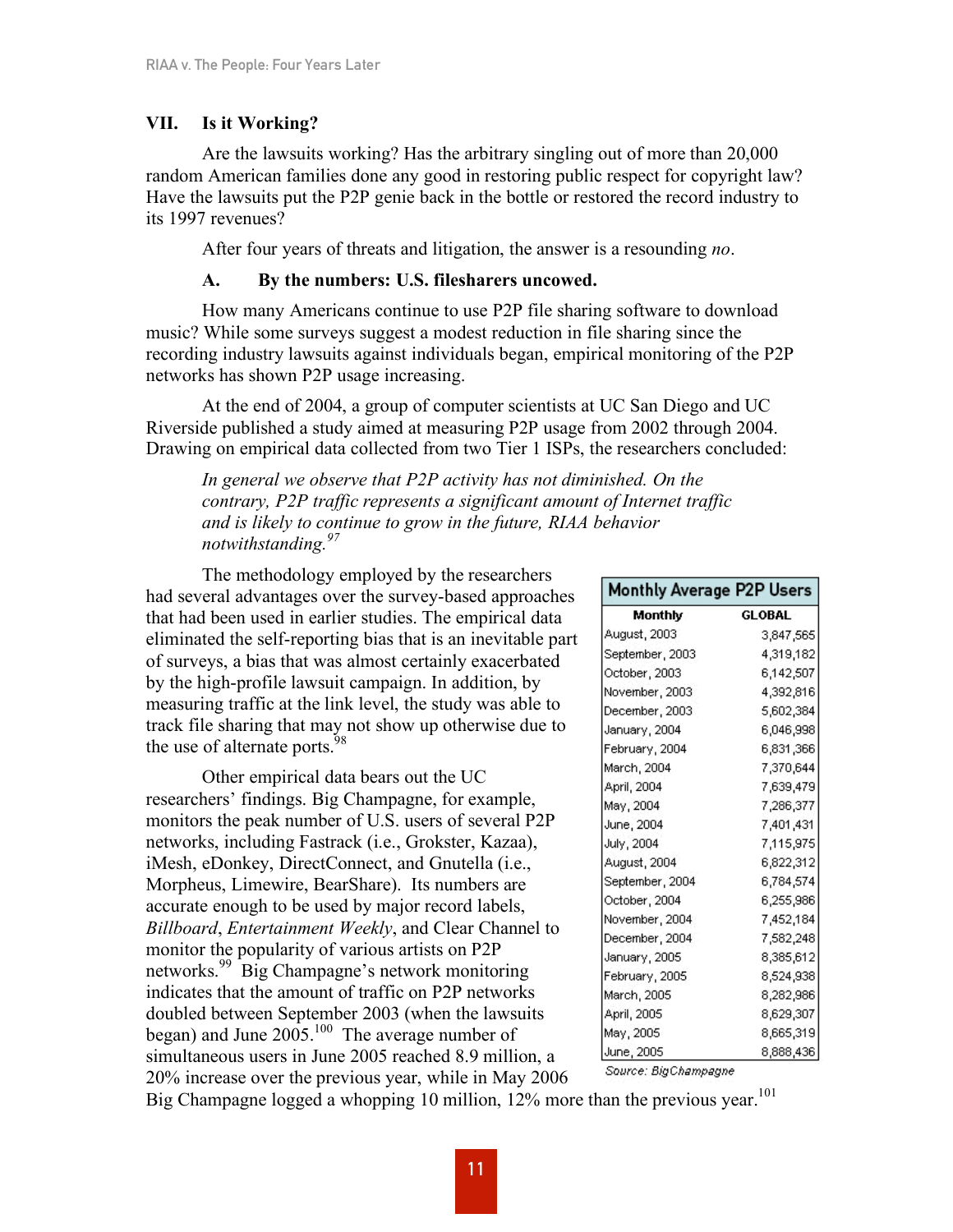## **VII. Is it Working?**

Are the lawsuits working? Has the arbitrary singling out of more than 20,000 random American families done any good in restoring public respect for copyright law? Have the lawsuits put the P2P genie back in the bottle or restored the record industry to its 1997 revenues?

After four years of threats and litigation, the answer is a resounding *no*.

## **A. By the numbers: U.S. filesharers uncowed.**

How many Americans continue to use P2P file sharing software to download music? While some surveys suggest a modest reduction in file sharing since the recording industry lawsuits against individuals began, empirical monitoring of the P2P networks has shown P2P usage increasing.

At the end of 2004, a group of computer scientists at UC San Diego and UC Riverside published a study aimed at measuring P2P usage from 2002 through 2004. Drawing on empirical data collected from two Tier 1 ISPs, the researchers concluded:

*In general we observe that P2P activity has not diminished. On the contrary, P2P traffic represents a significant amount of Internet traffic and is likely to continue to grow in the future, RIAA behavior notwithstanding. 97*

The methodology employed by the researchers had several advantages over the survey-based approaches that had been used in earlier studies. The empirical data eliminated the self-reporting bias that is an inevitable part of surveys, a bias that was almost certainly exacerbated by the high-profile lawsuit campaign. In addition, by measuring traffic at the link level, the study was able to track file sharing that may not show up otherwise due to the use of alternate ports. $^{98}$ 

Other empirical data bears out the UC researchers' findings. Big Champagne, for example, monitors the peak number of U.S. users of several P2P networks, including Fastrack (i.e., Grokster, Kazaa), iMesh, eDonkey, DirectConnect, and Gnutella (i.e., Morpheus, Limewire, BearShare). Its numbers are accurate enough to be used by major record labels, *Billboard*, *Entertainment Weekly*, and Clear Channel to monitor the popularity of various artists on P2P networks. <sup>99</sup> Big Champagne's network monitoring indicates that the amount of traffic on P2P networks doubled between September 2003 (when the lawsuits began) and June  $2005.<sup>100</sup>$  The average number of simultaneous users in June 2005 reached 8.9 million, a 20% increase over the previous year, while in May 2006

|  |  |  |  |  |  |  |  | Monthly Average P2P Users |  |
|--|--|--|--|--|--|--|--|---------------------------|--|
|--|--|--|--|--|--|--|--|---------------------------|--|

| Monthly         | GLOBAL    |
|-----------------|-----------|
| August, 2003    | 3,847,565 |
| September, 2003 | 4,319,182 |
| October, 2003   | 6,142,507 |
| November, 2003  | 4,392,816 |
| December, 2003  | 5,602,384 |
| January, 2004   | 6,046,998 |
| February, 2004  | 6,831,366 |
| March, 2004     | 7,370,644 |
| April, 2004     | 7,639,479 |
| May, 2004       | 7,286,377 |
| June, 2004      | 7,401,431 |
| July, 2004      | 7,115,975 |
| August, 2004    | 6,822,312 |
| September, 2004 | 6,784,574 |
| October, 2004   | 6,255,986 |
| November, 2004  | 7,452,184 |
| December, 2004  | 7,582,248 |
| January, 2005   | 8,385,612 |
| February, 2005  | 8,524,938 |
| March, 2005     | 8,282,986 |
| April, 2005     | 8,629,307 |
| May, 2005       | 8,665,319 |
| June, 2005      | 8,888,436 |

Source: BigChampagne

Big Champagne logged a whopping 10 million, 12% more than the previous year.<sup>101</sup>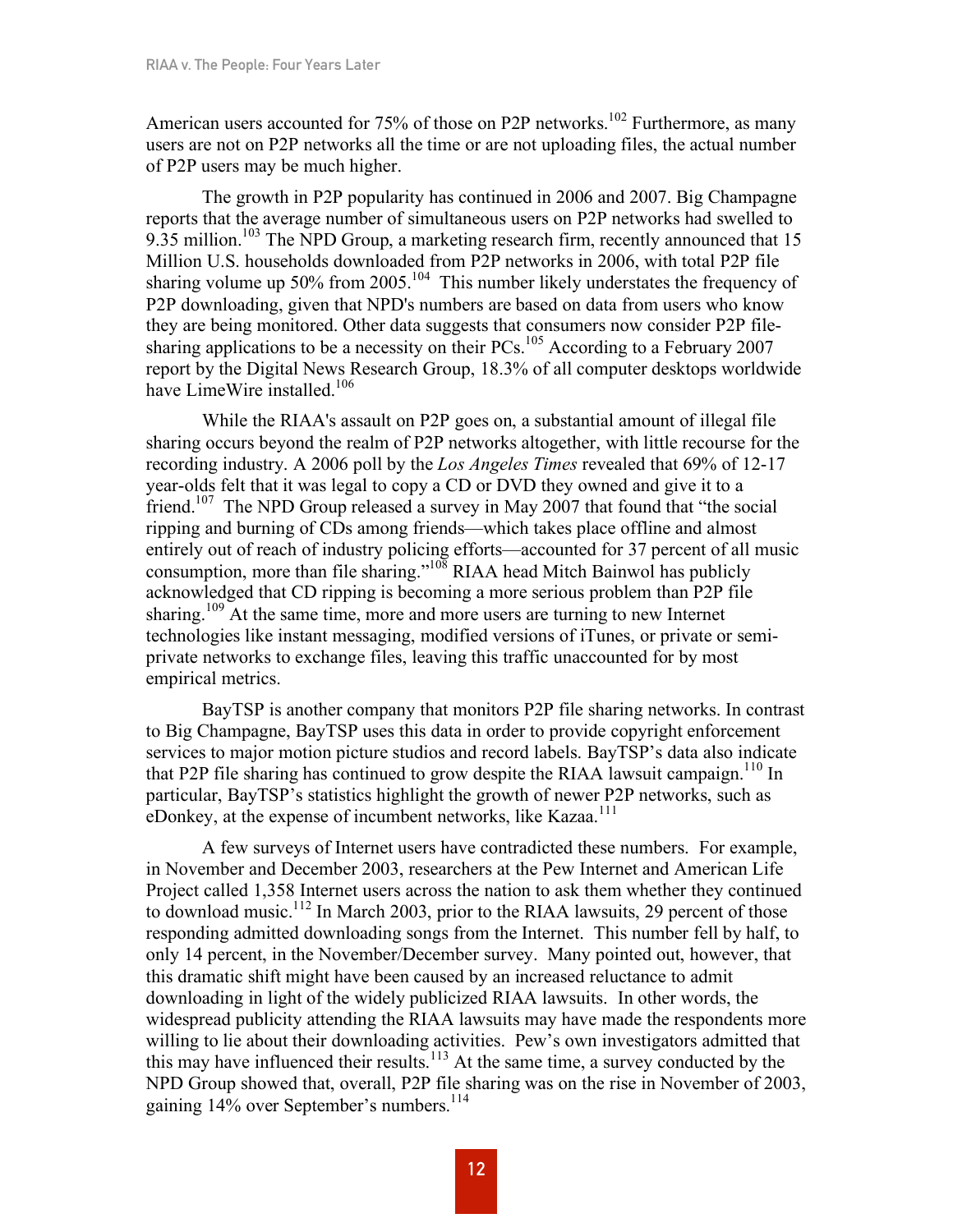American users accounted for 75% of those on P2P networks.<sup>102</sup> Furthermore, as many users are not on P2P networks all the time or are not uploading files, the actual number of P2P users may be much higher.

The growth in P2P popularity has continued in 2006 and 2007. Big Champagne reports that the average number of simultaneous users on P2P networks had swelled to 9.35 million.<sup>103</sup> The NPD Group, a marketing research firm, recently announced that 15 Million U.S. households downloaded from P2P networks in 2006, with total P2P file sharing volume up  $50\%$  from  $2005$ .<sup>104</sup> This number likely understates the frequency of P2P downloading, given that NPD's numbers are based on data from users who know they are being monitored. Other data suggests that consumers now consider P2P filesharing applications to be a necessity on their PCs.<sup>105</sup> According to a February 2007 report by the Digital News Research Group, 18.3% of all computer desktops worldwide have LimeWire installed.<sup>106</sup>

While the RIAA's assault on P2P goes on, a substantial amount of illegal file sharing occurs beyond the realm of P2P networks altogether, with little recourse for the recording industry. A 2006 poll by the *Los Angeles Times* revealed that 69% of 12-17 year-olds felt that it was legal to copy a CD or DVD they owned and give it to a friend.<sup>107</sup> The NPD Group released a survey in May 2007 that found that "the social ripping and burning of CDs among friends—which takes place offline and almost entirely out of reach of industry policing efforts—accounted for 37 percent of all music consumption, more than file sharing."<sup>108</sup> RIAA head Mitch Bainwol has publicly acknowledged that CD ripping is becoming a more serious problem than P2P file sharing.<sup>109</sup> At the same time, more and more users are turning to new Internet technologies like instant messaging, modified versions of iTunes, or private or semiprivate networks to exchange files, leaving this traffic unaccounted for by most empirical metrics.

BayTSP is another company that monitors P2P file sharing networks. In contrast to Big Champagne, BayTSP uses this data in order to provide copyright enforcement services to major motion picture studios and record labels. BayTSP's data also indicate that P2P file sharing has continued to grow despite the RIAA lawsuit campaign.<sup>110</sup> In particular, BayTSP's statistics highlight the growth of newer P2P networks, such as eDonkey, at the expense of incumbent networks, like Kazaa.<sup>111</sup>

A few surveys of Internet users have contradicted these numbers. For example, in November and December 2003, researchers at the Pew Internet and American Life Project called 1,358 Internet users across the nation to ask them whether they continued to download music.<sup>112</sup> In March 2003, prior to the RIAA lawsuits, 29 percent of those responding admitted downloading songs from the Internet. This number fell by half, to only 14 percent, in the November/December survey. Many pointed out, however, that this dramatic shift might have been caused by an increased reluctance to admit downloading in light of the widely publicized RIAA lawsuits. In other words, the widespread publicity attending the RIAA lawsuits may have made the respondents more willing to lie about their downloading activities. Pew's own investigators admitted that this may have influenced their results. <sup>113</sup> At the same time, a survey conducted by the NPD Group showed that, overall, P2P file sharing was on the rise in November of 2003, gaining 14% over September's numbers.<sup>114</sup>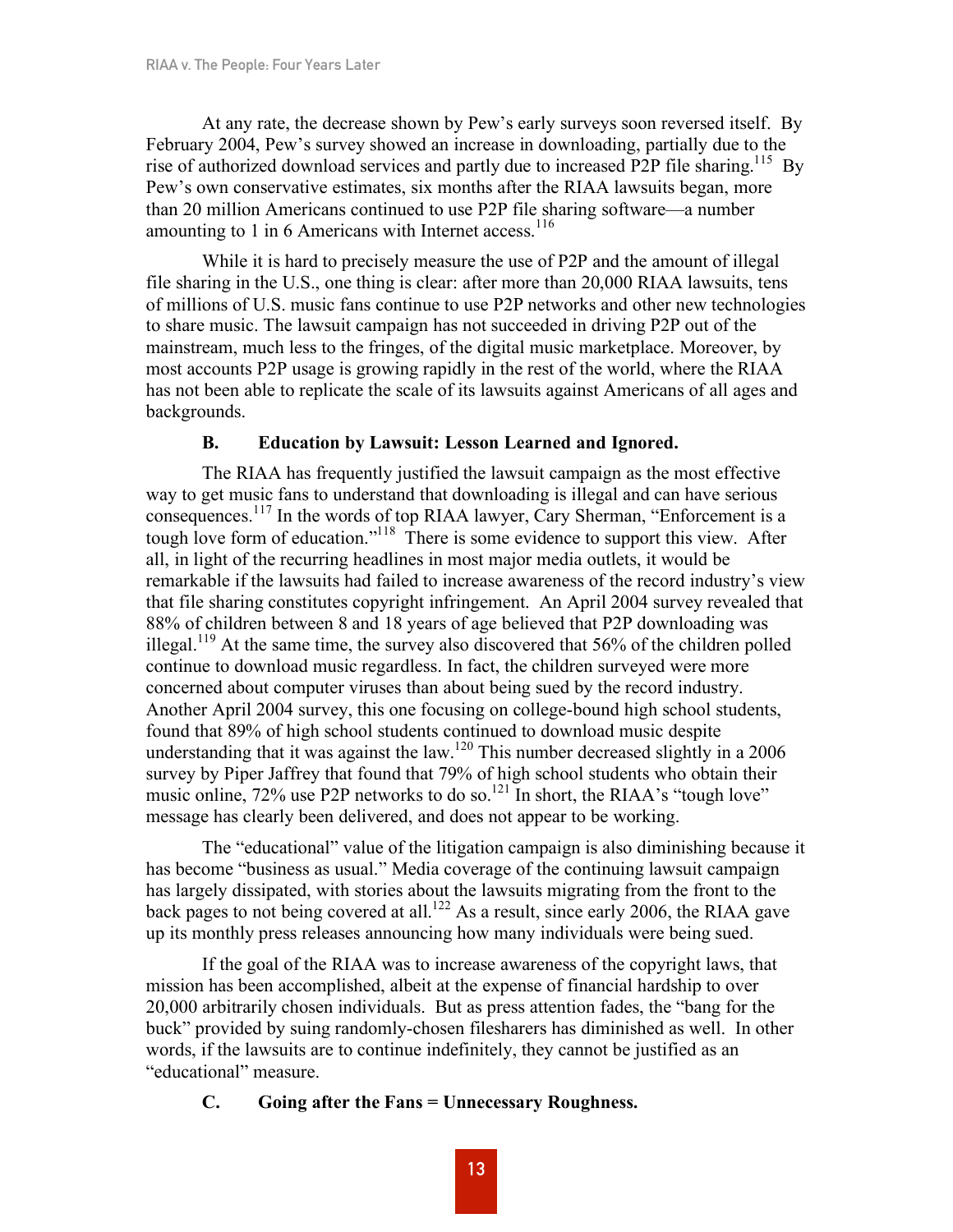At any rate, the decrease shown by Pew's early surveys soon reversed itself. By February 2004, Pew's survey showed an increase in downloading, partially due to the rise of authorized download services and partly due to increased P2P file sharing.<sup>115</sup> By Pew's own conservative estimates, six months after the RIAA lawsuits began, more than 20 million Americans continued to use P2P file sharing software—a number amounting to 1 in 6 Americans with Internet access.<sup>116</sup>

While it is hard to precisely measure the use of P2P and the amount of illegal file sharing in the U.S., one thing is clear: after more than 20,000 RIAA lawsuits, tens of millions of U.S. music fans continue to use P2P networks and other new technologies to share music. The lawsuit campaign has not succeeded in driving P2P out of the mainstream, much less to the fringes, of the digital music marketplace. Moreover, by most accounts P2P usage is growing rapidly in the rest of the world, where the RIAA has not been able to replicate the scale of its lawsuits against Americans of all ages and backgrounds.

## **B. Education by Lawsuit: Lesson Learned and Ignored.**

The RIAA has frequently justified the lawsuit campaign as the most effective way to get music fans to understand that downloading is illegal and can have serious consequences. <sup>117</sup> In the words of top RIAA lawyer, Cary Sherman, "Enforcement is a tough love form of education."<sup>118</sup> There is some evidence to support this view. After all, in light of the recurring headlines in most major media outlets, it would be remarkable if the lawsuits had failed to increase awareness of the record industry's view that file sharing constitutes copyright infringement. An April 2004 survey revealed that 88% of children between 8 and 18 years of age believed that P2P downloading was illegal.<sup>119</sup> At the same time, the survey also discovered that 56% of the children polled continue to download music regardless. In fact, the children surveyed were more concerned about computer viruses than about being sued by the record industry. Another April 2004 survey, this one focusing on college-bound high school students, found that 89% of high school students continued to download music despite understanding that it was against the law.<sup>120</sup> This number decreased slightly in a 2006 survey by Piper Jaffrey that found that 79% of high school students who obtain their music online,  $72\%$  use P2P networks to do so.<sup>121</sup> In short, the RIAA's "tough love" message has clearly been delivered, and does not appear to be working.

The "educational" value of the litigation campaign is also diminishing because it has become "business as usual." Media coverage of the continuing lawsuit campaign has largely dissipated, with stories about the lawsuits migrating from the front to the back pages to not being covered at all.<sup>122</sup> As a result, since early 2006, the RIAA gave up its monthly press releases announcing how many individuals were being sued.

If the goal of the RIAA was to increase awareness of the copyright laws, that mission has been accomplished, albeit at the expense of financial hardship to over 20,000 arbitrarily chosen individuals. But as press attention fades, the "bang for the buck" provided by suing randomly-chosen filesharers has diminished as well. In other words, if the lawsuits are to continue indefinitely, they cannot be justified as an "educational" measure.

## **C. Going after the Fans = Unnecessary Roughness.**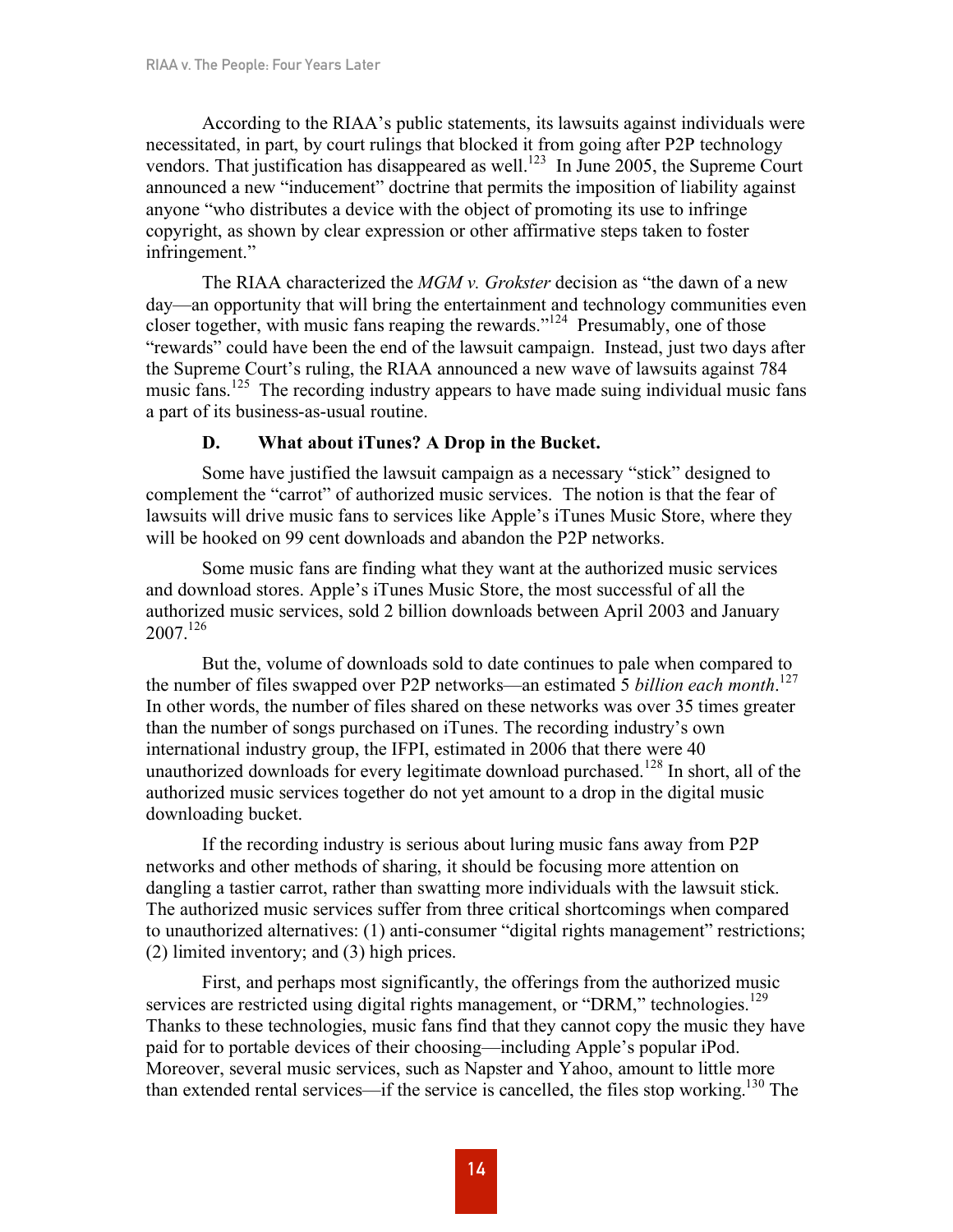According to the RIAA's public statements, its lawsuits against individuals were necessitated, in part, by court rulings that blocked it from going after P2P technology vendors. That justification has disappeared as well.<sup>123</sup> In June 2005, the Supreme Court announced a new "inducement" doctrine that permits the imposition of liability against anyone "who distributes a device with the object of promoting its use to infringe copyright, as shown by clear expression or other affirmative steps taken to foster infringement."

The RIAA characterized the *MGM v. Grokster* decision as "the dawn of a new day—an opportunity that will bring the entertainment and technology communities even closer together, with music fans reaping the rewards." <sup>124</sup> Presumably, one of those "rewards" could have been the end of the lawsuit campaign. Instead, just two days after the Supreme Court's ruling, the RIAA announced a new wave of lawsuits against 784 music fans.<sup>125</sup> The recording industry appears to have made suing individual music fans a part of its business-as-usual routine.

## **D. What about iTunes? A Drop in the Bucket.**

Some have justified the lawsuit campaign as a necessary "stick" designed to complement the "carrot" of authorized music services. The notion is that the fear of lawsuits will drive music fans to services like Apple's iTunes Music Store, where they will be hooked on 99 cent downloads and abandon the P2P networks.

Some music fans are finding what they want at the authorized music services and download stores. Apple's iTunes Music Store, the most successful of all the authorized music services, sold 2 billion downloads between April 2003 and January  $2007.<sup>126</sup>$ 

But the, volume of downloads sold to date continues to pale when compared to the number of files swapped over P2P networks—an estimated 5 *billion each month*. 127 In other words, the number of files shared on these networks was over 35 times greater than the number of songs purchased on iTunes. The recording industry's own international industry group, the IFPI, estimated in 2006 that there were 40 unauthorized downloads for every legitimate download purchased.<sup>128</sup> In short, all of the authorized music services together do not yet amount to a drop in the digital music downloading bucket.

If the recording industry is serious about luring music fans away from P2P networks and other methods of sharing, it should be focusing more attention on dangling a tastier carrot, rather than swatting more individuals with the lawsuit stick. The authorized music services suffer from three critical shortcomings when compared to unauthorized alternatives: (1) anti-consumer "digital rights management" restrictions; (2) limited inventory; and (3) high prices.

First, and perhaps most significantly, the offerings from the authorized music services are restricted using digital rights management, or "DRM," technologies.<sup>129</sup> Thanks to these technologies, music fans find that they cannot copy the music they have paid for to portable devices of their choosing—including Apple's popular iPod. Moreover, several music services, such as Napster and Yahoo, amount to little more than extended rental services—if the service is cancelled, the files stop working.<sup>130</sup> The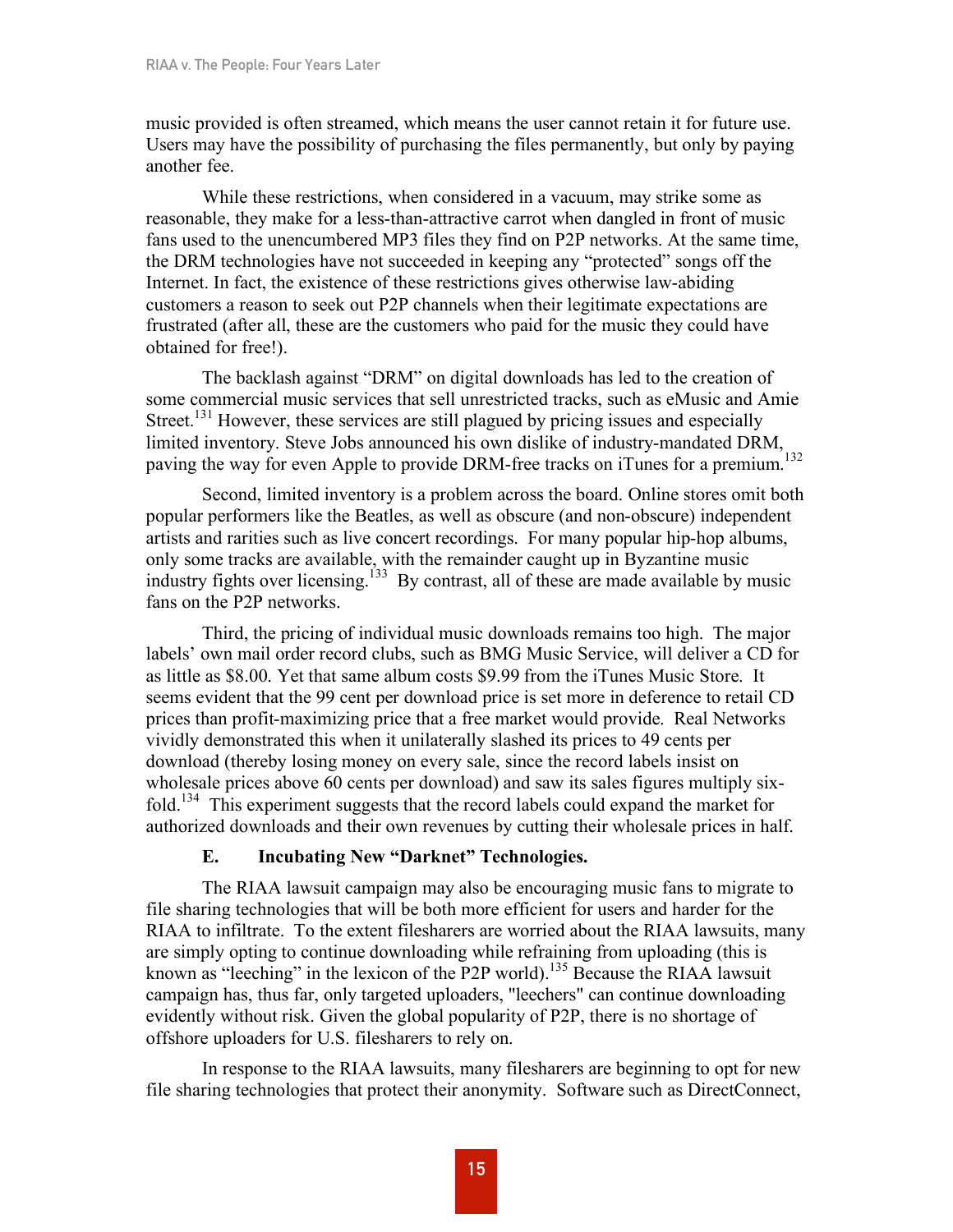music provided is often streamed, which means the user cannot retain it for future use. Users may have the possibility of purchasing the files permanently, but only by paying another fee.

While these restrictions, when considered in a vacuum, may strike some as reasonable, they make for a less-than-attractive carrot when dangled in front of music fans used to the unencumbered MP3 files they find on P2P networks. At the same time, the DRM technologies have not succeeded in keeping any "protected" songs off the Internet. In fact, the existence of these restrictions gives otherwise law-abiding customers a reason to seek out P2P channels when their legitimate expectations are frustrated (after all, these are the customers who paid for the music they could have obtained for free!).

The backlash against "DRM" on digital downloads has led to the creation of some commercial music services that sell unrestricted tracks, such as eMusic and Amie Street.<sup>131</sup> However, these services are still plagued by pricing issues and especially limited inventory. Steve Jobs announced his own dislike of industry-mandated DRM, paving the way for even Apple to provide DRM-free tracks on iTunes for a premium.<sup>132</sup>

Second, limited inventory is a problem across the board. Online stores omit both popular performers like the Beatles, as well as obscure (and non-obscure) independent artists and rarities such as live concert recordings. For many popular hip-hop albums, only some tracks are available, with the remainder caught up in Byzantine music industry fights over licensing.<sup>133</sup> By contrast, all of these are made available by music fans on the P2P networks.

Third, the pricing of individual music downloads remains too high. The major labels' own mail order record clubs, such as BMG Music Service, will deliver a CD for as little as \$8.00. Yet that same album costs \$9.99 from the iTunes Music Store. It seems evident that the 99 cent per download price is set more in deference to retail CD prices than profit-maximizing price that a free market would provide. Real Networks vividly demonstrated this when it unilaterally slashed its prices to 49 cents per download (thereby losing money on every sale, since the record labels insist on wholesale prices above 60 cents per download) and saw its sales figures multiply sixfold.<sup>134</sup> This experiment suggests that the record labels could expand the market for authorized downloads and their own revenues by cutting their wholesale prices in half.

## **E. Incubating New "Darknet" Technologies.**

The RIAA lawsuit campaign may also be encouraging music fans to migrate to file sharing technologies that will be both more efficient for users and harder for the RIAA to infiltrate. To the extent filesharers are worried about the RIAA lawsuits, many are simply opting to continue downloading while refraining from uploading (this is known as "leeching" in the lexicon of the P2P world).<sup>135</sup> Because the RIAA lawsuit campaign has, thus far, only targeted uploaders, "leechers" can continue downloading evidently without risk. Given the global popularity of P2P, there is no shortage of offshore uploaders for U.S. filesharers to rely on.

In response to the RIAA lawsuits, many filesharers are beginning to opt for new file sharing technologies that protect their anonymity. Software such as DirectConnect,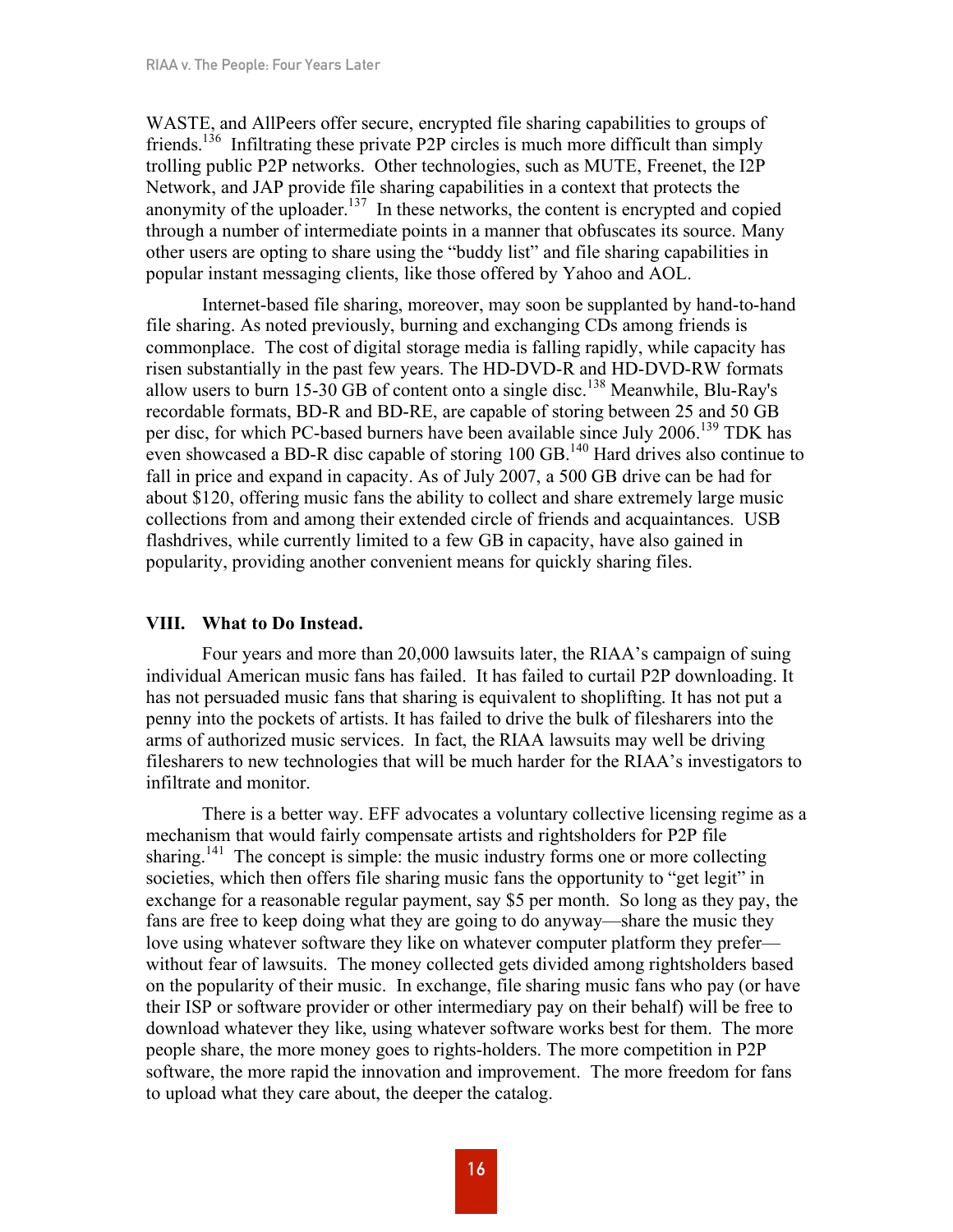WASTE, and AllPeers offer secure, encrypted file sharing capabilities to groups of friends.<sup>136</sup> Infiltrating these private P2P circles is much more difficult than simply trolling public P2P networks. Other technologies, such as MUTE, Freenet, the I2P Network, and JAP provide file sharing capabilities in a context that protects the anonymity of the uploader.<sup>137</sup> In these networks, the content is encrypted and copied through a number of intermediate points in a manner that obfuscates its source. Many other users are opting to share using the "buddy list" and file sharing capabilities in popular instant messaging clients, like those offered by Yahoo and AOL.

Internet-based file sharing, moreover, may soon be supplanted by hand-to-hand file sharing. As noted previously, burning and exchanging CDs among friends is commonplace. The cost of digital storage media is falling rapidly, while capacity has risen substantially in the past few years. The HD-DVD-R and HD-DVD-RW formats allow users to burn 15-30 GB of content onto a single disc.<sup>138</sup> Meanwhile, Blu-Ray's recordable formats, BD-R and BD-RE, are capable of storing between 25 and 50 GB per disc, for which PC-based burners have been available since July 2006.<sup>139</sup> TDK has even showcased a BD-R disc capable of storing 100 GB.<sup>140</sup> Hard drives also continue to fall in price and expand in capacity. As of July 2007, a 500 GB drive can be had for about \$120, offering music fans the ability to collect and share extremely large music collections from and among their extended circle of friends and acquaintances. USB flashdrives, while currently limited to a few GB in capacity, have also gained in popularity, providing another convenient means for quickly sharing files.

## **VIII. What to Do Instead.**

Four years and more than 20,000 lawsuits later, the RIAA's campaign of suing individual American music fans has failed. It has failed to curtail P2P downloading. It has not persuaded music fans that sharing is equivalent to shoplifting. It has not put a penny into the pockets of artists. It has failed to drive the bulk of filesharers into the arms of authorized music services. In fact, the RIAA lawsuits may well be driving filesharers to new technologies that will be much harder for the RIAA's investigators to infiltrate and monitor.

There is a better way. EFF advocates a voluntary collective licensing regime as a mechanism that would fairly compensate artists and rightsholders for P2P file sharing.<sup>141</sup> The concept is simple: the music industry forms one or more collecting societies, which then offers file sharing music fans the opportunity to "get legit" in exchange for a reasonable regular payment, say \$5 per month. So long as they pay, the fans are free to keep doing what they are going to do anyway—share the music they love using whatever software they like on whatever computer platform they prefer without fear of lawsuits. The money collected gets divided among rightsholders based on the popularity of their music. In exchange, file sharing music fans who pay (or have their ISP or software provider or other intermediary pay on their behalf) will be free to download whatever they like, using whatever software works best for them. The more people share, the more money goes to rights-holders. The more competition in P2P software, the more rapid the innovation and improvement. The more freedom for fans to upload what they care about, the deeper the catalog.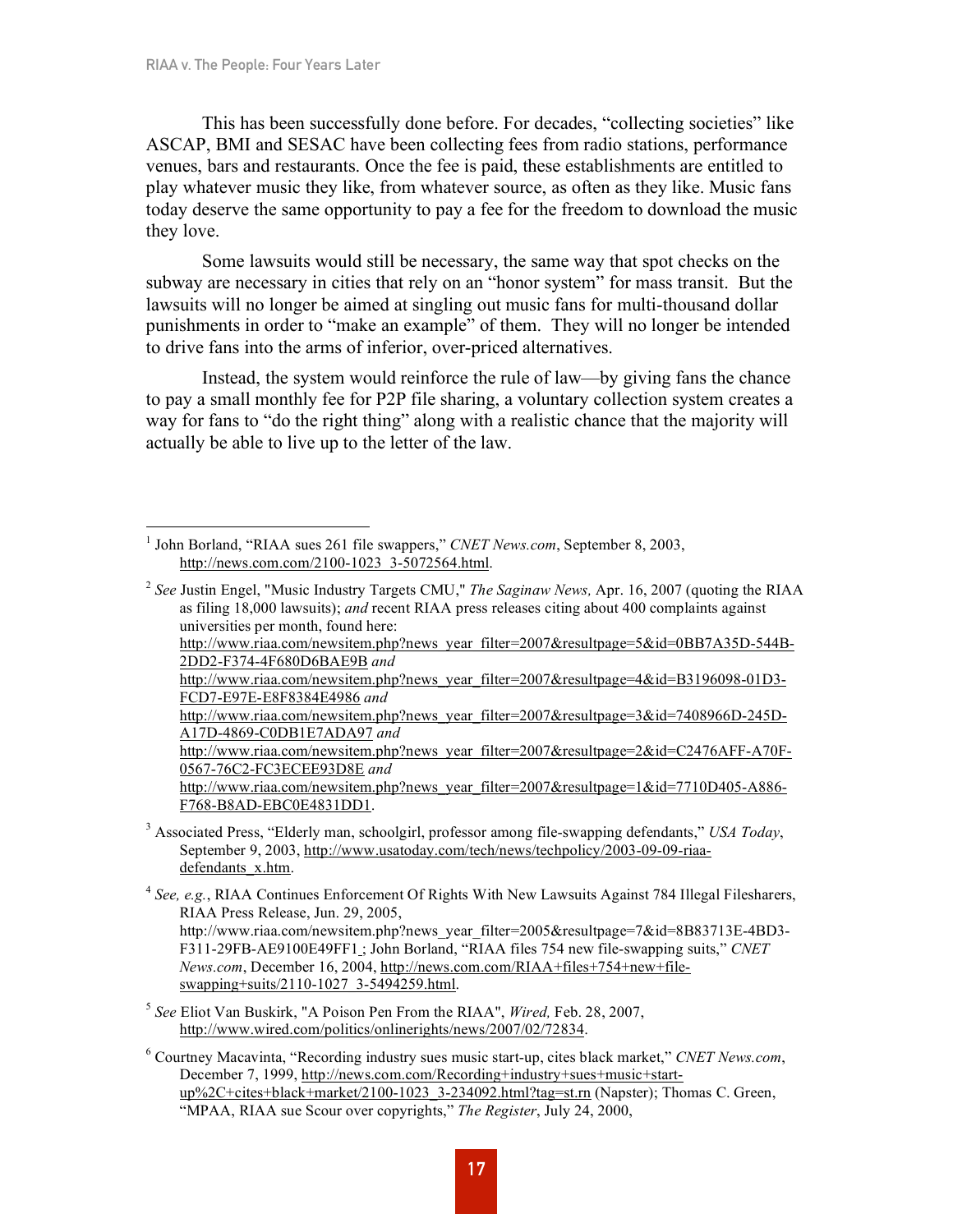This has been successfully done before. For decades, "collecting societies" like ASCAP, BMI and SESAC have been collecting fees from radio stations, performance venues, bars and restaurants. Once the fee is paid, these establishments are entitled to play whatever music they like, from whatever source, as often as they like. Music fans today deserve the same opportunity to pay a fee for the freedom to download the music they love.

Some lawsuits would still be necessary, the same way that spot checks on the subway are necessary in cities that rely on an "honor system" for mass transit. But the lawsuits will no longer be aimed at singling out music fans for multi-thousand dollar punishments in order to "make an example" of them. They will no longer be intended to drive fans into the arms of inferior, over-priced alternatives.

Instead, the system would reinforce the rule of law—by giving fans the chance to pay a small monthly fee for P2P file sharing, a voluntary collection system creates a way for fans to "do the right thing" along with a realistic chance that the majority will actually be able to live up to the letter of the law.

http://www.riaa.com/newsitem.php?news\_year\_filter=2007&resultpage=5&id=0BB7A35D-544B-2DD2-F374-4F680D6BAE9B *and*

http://www.riaa.com/newsitem.php?news\_year\_filter=2007&resultpage=1&id=7710D405-A886-F768-B8AD-EBC0E4831DD1.

<sup>3</sup> Associated Press, "Elderly man, schoolgirl, professor among file-swapping defendants," *USA Today*, September 9, 2003, http://www.usatoday.com/tech/news/techpolicy/2003-09-09-riaadefendants\_x.htm.

- <sup>4</sup> *See, e.g.*, RIAA Continues Enforcement Of Rights With New Lawsuits Against 784 Illegal Filesharers, RIAA Press Release, Jun. 29, 2005, http://www.riaa.com/newsitem.php?news\_year\_filter=2005&resultpage=7&id=8B83713E-4BD3-F311-29FB-AE9100E49FF1 ; John Borland, "RIAA files 754 new file-swapping suits," *CNET News.com*, December 16, 2004, http://news.com.com/RIAA+files+754+new+fileswapping+suits/2110-1027\_3-5494259.html.
- <sup>5</sup> *See* Eliot Van Buskirk, "A Poison Pen From the RIAA", *Wired,* Feb. 28, 2007, http://www.wired.com/politics/onlinerights/news/2007/02/72834.

<sup>6</sup> Courtney Macavinta, "Recording industry sues music start-up, cites black market," *CNET News.com*, December 7, 1999, http://news.com.com/Recording+industry+sues+music+startup%2C+cites+black+market/2100-1023\_3-234092.html?tag=st.rn (Napster); Thomas C. Green, "MPAA, RIAA sue Scour over copyrights," *The Register*, July 24, 2000,

 <sup>1</sup> John Borland, "RIAA sues <sup>261</sup> file swappers," *CNET News.com*, September 8, 2003, http://news.com.com/2100-1023\_3-5072564.html.

<sup>2</sup> *See* Justin Engel, "Music Industry Targets CMU," *The Saginaw News,* Apr. 16, 2007 (quoting the RIAA as filing 18,000 lawsuits); *and* recent RIAA press releases citing about 400 complaints against universities per month, found here:

http://www.riaa.com/newsitem.php?news\_year\_filter=2007&resultpage=4&id=B3196098-01D3-FCD7-E97E-E8F8384E4986 *and*

http://www.riaa.com/newsitem.php?news\_year\_filter=2007&resultpage=3&id=7408966D-245D-A17D-4869-C0DB1E7ADA97 *and*

http://www.riaa.com/newsitem.php?news\_year\_filter=2007&resultpage=2&id=C2476AFF-A70F-0567-76C2-FC3ECEE93D8E *and*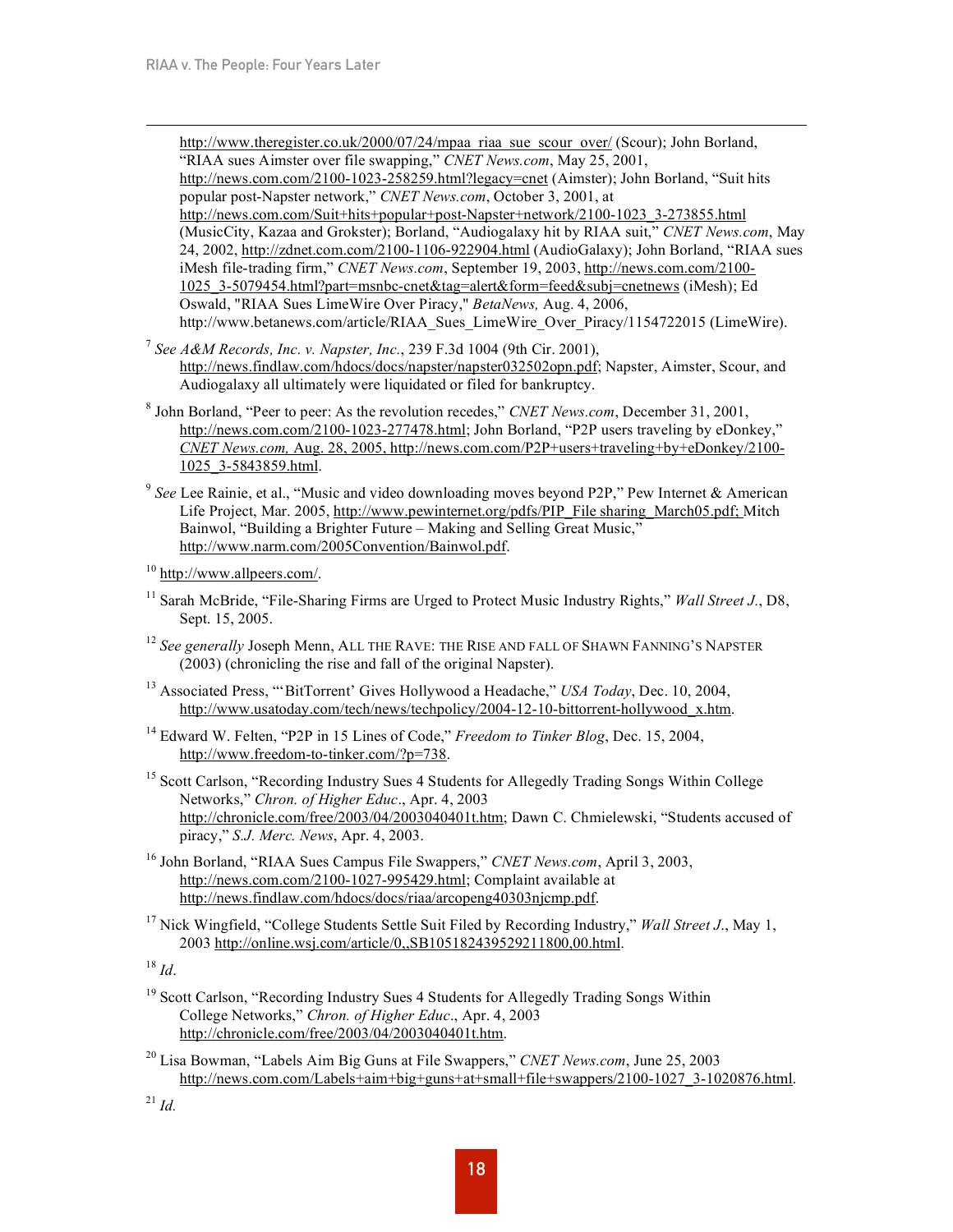http://www.theregister.co.uk/2000/07/24/mpaa\_riaa\_sue\_scour\_over/ (Scour); John Borland, "RIAA sues Aimster over file swapping," *CNET News.com*, May 25, 2001, http://news.com.com/2100-1023-258259.html?legacy=cnet (Aimster); John Borland, "Suit hits popular post-Napster network," *CNET News.com*, October 3, 2001, at http://news.com.com/Suit+hits+popular+post-Napster+network/2100-1023\_3-273855.html (MusicCity, Kazaa and Grokster); Borland, "Audiogalaxy hit by RIAA suit," *CNET News.com*, May 24, 2002, http://zdnet.com.com/2100-1106-922904.html (AudioGalaxy); John Borland, "RIAA sues iMesh file-trading firm," *CNET News.com*, September 19, 2003, http://news.com.com/2100- 1025\_3-5079454.html?part=msnbc-cnet&tag=alert&form=feed&subj=cnetnews (iMesh); Ed Oswald, "RIAA Sues LimeWire Over Piracy," *BetaNews,* Aug. 4, 2006, http://www.betanews.com/article/RIAA\_Sues\_LimeWire\_Over\_Piracy/1154722015 (LimeWire).

- <sup>7</sup> *See A&M Records, Inc. v. Napster, Inc.*, 239 F.3d 1004 (9th Cir. 2001), http://news.findlaw.com/hdocs/docs/napster/napster032502opn.pdf; Napster, Aimster, Scour, and Audiogalaxy all ultimately were liquidated or filed for bankruptcy.
- <sup>8</sup> John Borland, "Peer to peer: As the revolution recedes," *CNET News.com*, December 31, 2001, http://news.com.com/2100-1023-277478.html; John Borland, "P2P users traveling by eDonkey," *CNET News.com,* Aug. 28, 2005, http://news.com.com/P2P+users+traveling+by+eDonkey/2100- 1025\_3-5843859.html.
- <sup>9</sup> *See* Lee Rainie, et al., "Music and video downloading moves beyond P2P," Pew Internet & American Life Project, Mar. 2005, http://www.pewinternet.org/pdfs/PIP\_File sharing\_March05.pdf; Mitch Bainwol, "Building a Brighter Future – Making and Selling Great Music," http://www.narm.com/2005Convention/Bainwol.pdf.
- <sup>10</sup> http://www.allpeers.com/.
- <sup>11</sup> Sarah McBride, "File-Sharing Firms are Urged to Protect Music Industry Rights," *Wall Street J.*, D8, Sept. 15, 2005.
- <sup>12</sup> See generally Joseph Menn, ALL THE RAVE: THE RISE AND FALL OF SHAWN FANNING'S NAPSTER (2003) (chronicling the rise and fall of the original Napster).
- <sup>13</sup> Associated Press, "'BitTorrent' Gives Hollywood a Headache," *USA Today*, Dec. 10, 2004, http://www.usatoday.com/tech/news/techpolicy/2004-12-10-bittorrent-hollywood\_x.htm.
- <sup>14</sup> Edward W. Felten, "P2P in 15 Lines of Code," *Freedom to Tinker Blog*, Dec. 15, 2004, http://www.freedom-to-tinker.com/?p=738.
- <sup>15</sup> Scott Carlson, "Recording Industry Sues 4 Students for Allegedly Trading Songs Within College Networks," *Chron. of Higher Educ*., Apr. 4, 2003 http://chronicle.com/free/2003/04/2003040401t.htm; Dawn C. Chmielewski, "Students accused of piracy," *S.J. Merc. News*, Apr. 4, 2003.
- <sup>16</sup> John Borland, "RIAA Sues Campus File Swappers," *CNET News.com*, April 3, 2003, http://news.com.com/2100-1027-995429.html; Complaint available at http://news.findlaw.com/hdocs/docs/riaa/arcopeng40303njcmp.pdf.
- <sup>17</sup> Nick Wingfield, "College Students Settle Suit Filed by Recording Industry," *Wall Street J*., May 1, 2003 http://online.wsj.com/article/0,,SB105182439529211800,00.html.

<sup>18</sup> *Id*.

- <sup>19</sup> Scott Carlson, "Recording Industry Sues 4 Students for Allegedly Trading Songs Within College Networks," *Chron. of Higher Educ*., Apr. 4, 2003 http://chronicle.com/free/2003/04/2003040401t.htm.
- <sup>20</sup> Lisa Bowman, "Labels Aim Big Guns at File Swappers," *CNET News.com*, June 25, 2003 http://news.com.com/Labels+aim+big+guns+at+small+file+swappers/2100-1027\_3-1020876.html.

<sup>21</sup> *Id.*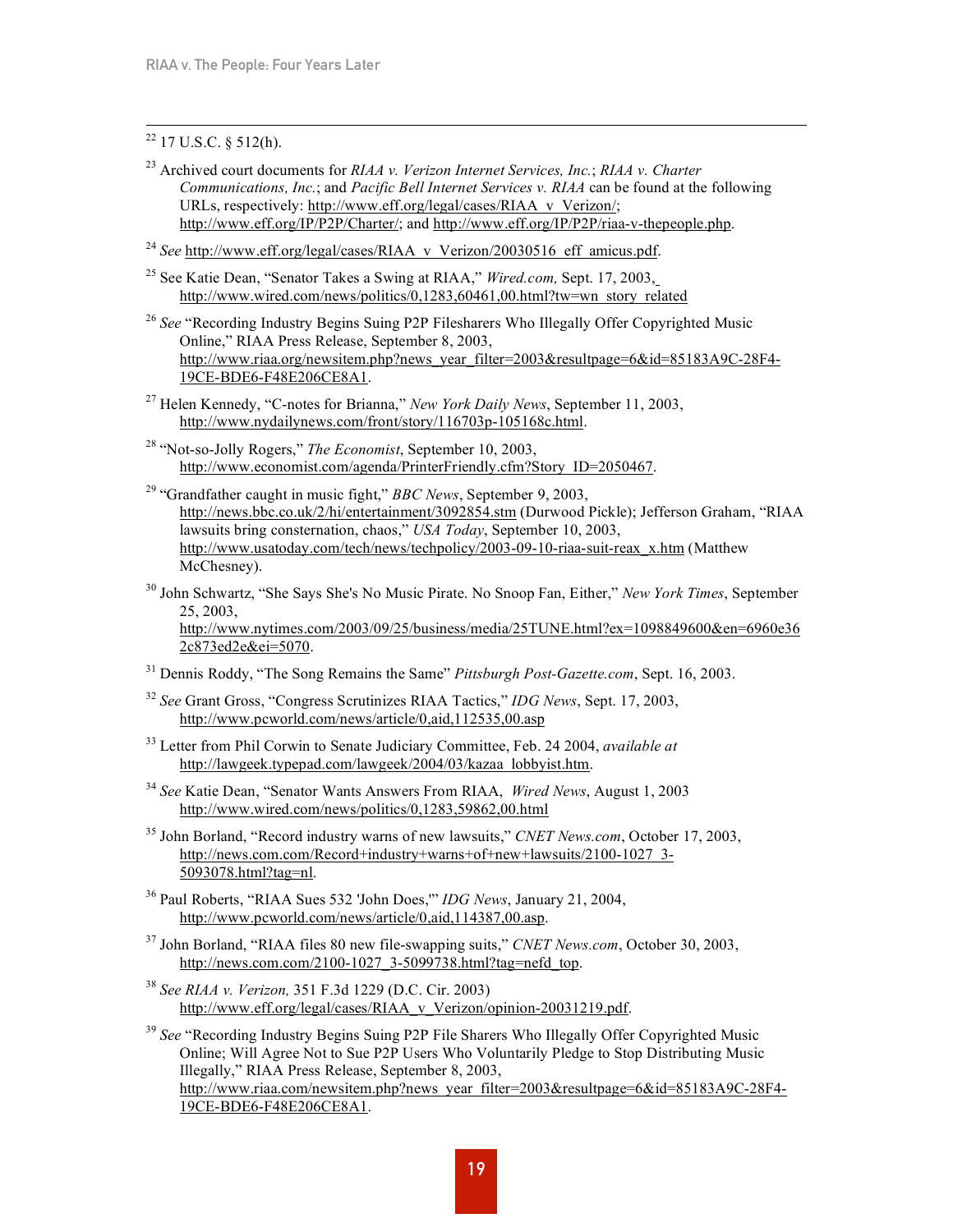# $22$  17 U.S.C. § 512(h).

- <sup>23</sup> Archived court documents for *RIAA v. Verizon Internet Services, Inc.*; *RIAA v. Charter Communications, Inc.*; and *Pacific Bell Internet Services v. RIAA* can be found at the following URLs, respectively: http://www.eff.org/legal/cases/RIAA\_v\_Verizon/; http://www.eff.org/IP/P2P/Charter/; and http://www.eff.org/IP/P2P/riaa-v-thepeople.php.
- <sup>24</sup> See http://www.eff.org/legal/cases/RIAA\_v\_Verizon/20030516\_eff\_amicus.pdf.
- <sup>25</sup> See Katie Dean, "Senator Takes a Swing at RIAA," *Wired.com,* Sept. 17, 2003, http://www.wired.com/news/politics/0.1283.60461.00.html?tw=wn\_story\_related
- <sup>26</sup> See "Recording Industry Begins Suing P2P Filesharers Who Illegally Offer Copyrighted Music Online," RIAA Press Release, September 8, 2003, http://www.riaa.org/newsitem.php?news\_year\_filter=2003&resultpage=6&id=85183A9C-28F4-19CE-BDE6-F48E206CE8A1.
- <sup>27</sup> Helen Kennedy, "C-notes for Brianna," *New York Daily News*, September 11, 2003, http://www.nydailynews.com/front/story/116703p-105168c.html.
- <sup>28</sup> "Not-so-Jolly Rogers," *The Economist*, September 10, 2003, http://www.economist.com/agenda/PrinterFriendly.cfm?Story\_ID=2050467.
- <sup>29</sup> "Grandfather caught in music fight," *BBC News*, September 9, 2003, http://news.bbc.co.uk/2/hi/entertainment/3092854.stm (Durwood Pickle); Jefferson Graham, "RIAA lawsuits bring consternation, chaos," *USA Today*, September 10, 2003, http://www.usatoday.com/tech/news/techpolicy/2003-09-10-riaa-suit-reax\_x.htm (Matthew McChesney).
- <sup>30</sup> John Schwartz, "She Says She's No Music Pirate. No Snoop Fan, Either," *New York Times*, September 25, 2003, http://www.nytimes.com/2003/09/25/business/media/25TUNE.html?ex=1098849600&en=6960e36 2c873ed2e&ei=5070.
- <sup>31</sup> Dennis Roddy, "The Song Remains the Same" *Pittsburgh Post-Gazette.com*, Sept. 16, 2003.
- <sup>32</sup> *See* Grant Gross, "Congress Scrutinizes RIAA Tactics," *IDG News*, Sept. 17, 2003, http://www.pcworld.com/news/article/0,aid,112535,00.asp
- <sup>33</sup> Letter from Phil Corwin to Senate Judiciary Committee, Feb. 24 2004, *available at* http://lawgeek.typepad.com/lawgeek/2004/03/kazaa<sup>l</sup>lobbyist.htm.
- <sup>34</sup> *See* Katie Dean, "Senator Wants Answers From RIAA, *Wired News*, August 1, 2003 http://www.wired.com/news/politics/0,1283,59862,00.html
- <sup>35</sup> John Borland, "Record industry warns of new lawsuits," *CNET News.com*, October 17, 2003, http://news.com.com/Record+industry+warns+of+new+lawsuits/2100-1027\_3- 5093078.html?tag=nl.
- <sup>36</sup> Paul Roberts, "RIAA Sues 532 'John Does,'" *IDG News*, January 21, 2004, http://www.pcworld.com/news/article/0,aid,114387,00.asp.
- <sup>37</sup> John Borland, "RIAA files 80 new file-swapping suits," *CNET News.com*, October 30, 2003, http://news.com.com/2100-1027\_3-5099738.html?tag=nefd\_top.
- <sup>38</sup> *See RIAA v. Verizon,* 351 F.3d 1229 (D.C. Cir. 2003) http://www.eff.org/legal/cases/RIAA\_v\_Verizon/opinion-20031219.pdf.

<sup>39</sup> *See* "Recording Industry Begins Suing P2P File Sharers Who Illegally Offer Copyrighted Music Online; Will Agree Not to Sue P2P Users Who Voluntarily Pledge to Stop Distributing Music Illegally," RIAA Press Release, September 8, 2003, http://www.riaa.com/newsitem.php?news\_year\_filter=2003&resultpage=6&id=85183A9C-28F4-19CE-BDE6-F48E206CE8A1.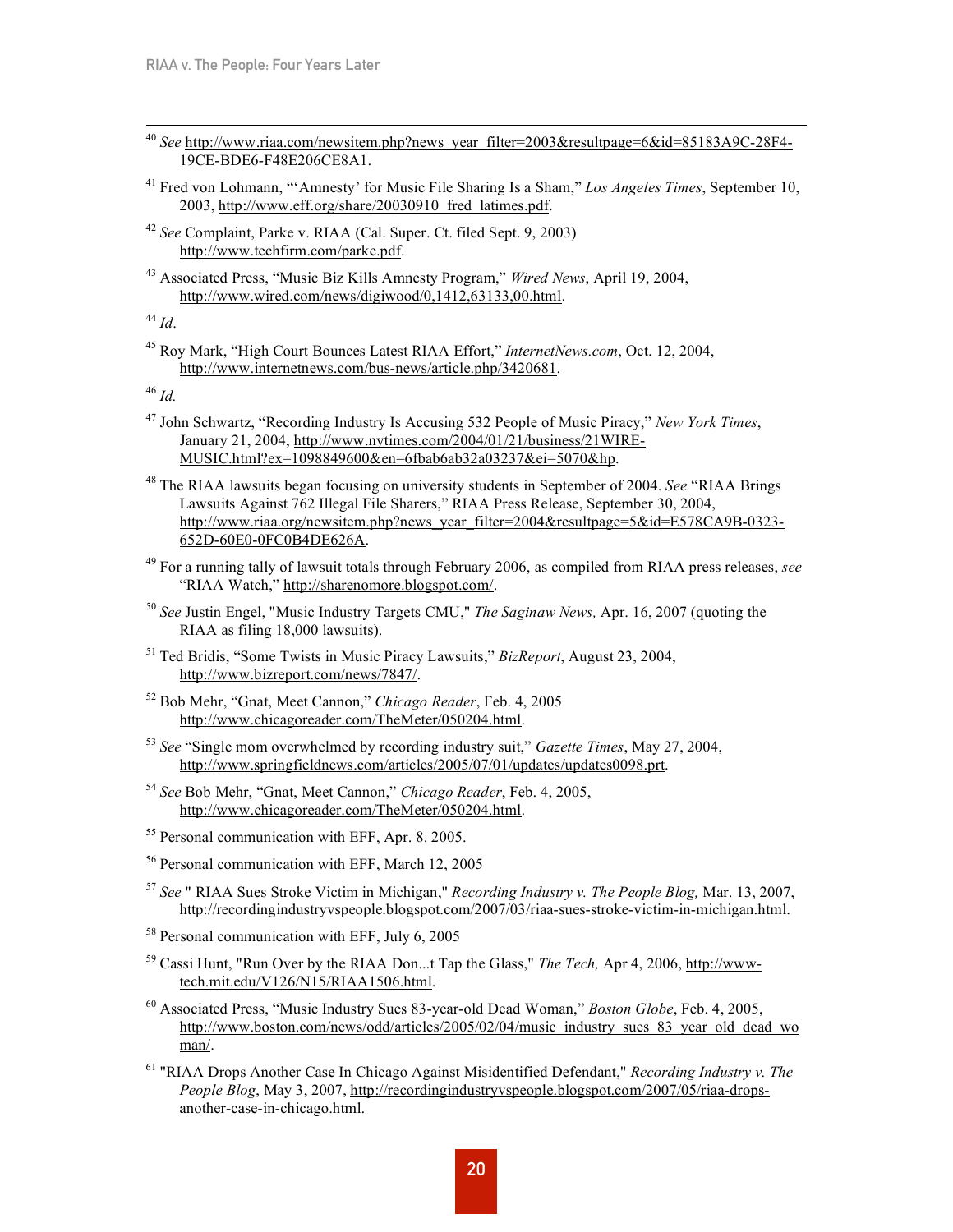- <sup>40</sup> See http://www.riaa.com/newsitem.php?news\_year\_filter=2003&resultpage=6&id=85183A9C-28F4-19CE-BDE6-F48E206CE8A1.
- <sup>41</sup> Fred von Lohmann, "'Amnesty' for Music File Sharing Is a Sham," *Los Angeles Times*, September 10, 2003, http://www.eff.org/share/20030910\_fred\_latimes.pdf.
- <sup>42</sup> *See* Complaint, Parke v. RIAA (Cal. Super. Ct. filed Sept. 9, 2003) http://www.techfirm.com/parke.pdf.
- <sup>43</sup> Associated Press, "Music Biz Kills Amnesty Program," *Wired News*, April 19, 2004, http://www.wired.com/news/digiwood/0,1412,63133,00.html.

<sup>44</sup> *Id*.

<sup>45</sup> Roy Mark, "High Court Bounces Latest RIAA Effort," *InternetNews.com*, Oct. 12, 2004, http://www.internetnews.com/bus-news/article.php/3420681.

<sup>46</sup> *Id.*

- <sup>47</sup> John Schwartz, "Recording Industry Is Accusing 532 People of Music Piracy," *New York Times*, January 21, 2004, http://www.nytimes.com/2004/01/21/business/21WIRE-MUSIC.html?ex=1098849600&en=6fbab6ab32a03237&ei=5070&hp.
- <sup>48</sup> The RIAA lawsuits began focusing on university students in September of 2004. *See* "RIAA Brings Lawsuits Against 762 Illegal File Sharers," RIAA Press Release, September 30, 2004, http://www.riaa.org/newsitem.php?news\_year\_filter=2004&resultpage=5&id=E578CA9B-0323-652D-60E0-0FC0B4DE626A.
- <sup>49</sup> For a running tally of lawsuit totals through February 2006, as compiled from RIAA press releases, *see* "RIAA Watch," http://sharenomore.blogspot.com/.
- <sup>50</sup> *See* Justin Engel, "Music Industry Targets CMU," *The Saginaw News,* Apr. 16, 2007 (quoting the RIAA as filing 18,000 lawsuits).
- <sup>51</sup> Ted Bridis, "Some Twists in Music Piracy Lawsuits," *BizReport*, August 23, 2004, http://www.bizreport.com/news/7847/.
- <sup>52</sup> Bob Mehr, "Gnat, Meet Cannon," *Chicago Reader*, Feb. 4, 2005 http://www.chicagoreader.com/TheMeter/050204.html.
- <sup>53</sup> *See* "Single mom overwhelmed by recording industry suit," *Gazette Times*, May 27, 2004, http://www.springfieldnews.com/articles/2005/07/01/updates/updates0098.prt.
- <sup>54</sup> *See* Bob Mehr, "Gnat, Meet Cannon," *Chicago Reader*, Feb. 4, 2005, http://www.chicagoreader.com/TheMeter/050204.html.
- <sup>55</sup> Personal communication with EFF, Apr. 8. 2005.
- <sup>56</sup> Personal communication with EFF, March 12, 2005
- <sup>57</sup> *See* " RIAA Sues Stroke Victim in Michigan," *Recording Industry v. The People Blog,* Mar. 13, 2007, http://recordingindustryvspeople.blogspot.com/2007/03/riaa-sues-stroke-victim-in-michigan.html.
- <sup>58</sup> Personal communication with EFF, July 6, 2005
- <sup>59</sup> Cassi Hunt, "Run Over by the RIAA Don...t Tap the Glass," *The Tech,* Apr 4, 2006, http://wwwtech.mit.edu/V126/N15/RIAA1506.html.
- <sup>60</sup> Associated Press, "Music Industry Sues 83-year-old Dead Woman," *Boston Globe*, Feb. 4, 2005, http://www.boston.com/news/odd/articles/2005/02/04/music\_industry\_sues\_83\_year\_old\_dead\_wo man/.
- <sup>61</sup> "RIAA Drops Another Case In Chicago Against Misidentified Defendant," *Recording Industry v. The People Blog*, May 3, 2007, http://recordingindustryvspeople.blogspot.com/2007/05/riaa-dropsanother-case-in-chicago.html.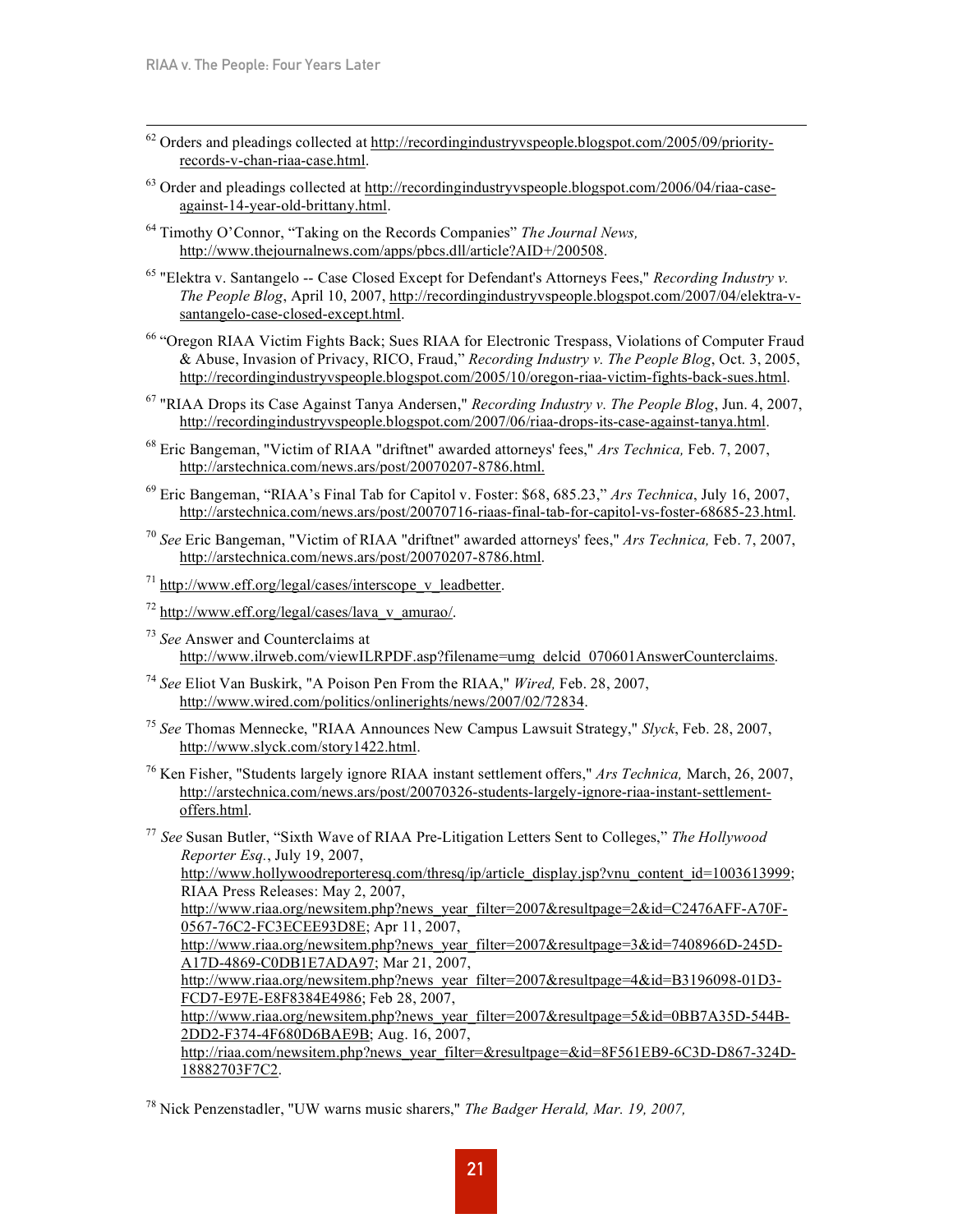- $62$  Orders and pleadings collected at http://recordingindustryvspeople.blogspot.com/2005/09/priorityrecords-v-chan-riaa-case.html.
- $^{63}$  Order and pleadings collected at http://recordingindustryvspeople.blogspot.com/2006/04/riaa-caseagainst-14-year-old-brittany.html.
- <sup>64</sup> Timothy O'Connor, "Taking on the Records Companies" *The Journal News,* http://www.thejournalnews.com/apps/pbcs.dll/article?AID+/200508.
- <sup>65</sup> "Elektra v. Santangelo -- Case Closed Except for Defendant's Attorneys Fees," *Recording Industry v. The People Blog*, April 10, 2007, http://recordingindustryvspeople.blogspot.com/2007/04/elektra-vsantangelo-case-closed-except.html.
- <sup>66</sup> "Oregon RIAA Victim Fights Back; Sues RIAA for Electronic Trespass, Violations of Computer Fraud & Abuse, Invasion of Privacy, RICO, Fraud," *Recording Industry v. The People Blog*, Oct. 3, 2005, http://recordingindustryvspeople.blogspot.com/2005/10/oregon-riaa-victim-fights-back-sues.html.
- <sup>67</sup> "RIAA Drops its Case Against Tanya Andersen," *Recording Industry v. The People Blog*, Jun. 4, 2007, http://recordingindustryvspeople.blogspot.com/2007/06/riaa-drops-its-case-against-tanya.html.
- <sup>68</sup> Eric Bangeman, "Victim of RIAA "driftnet" awarded attorneys' fees," *Ars Technica,* Feb. 7, 2007, http://arstechnica.com/news.ars/post/20070207-8786.html.
- <sup>69</sup> Eric Bangeman, "RIAA's Final Tab for Capitol v. Foster: \$68, 685.23," *Ars Technica*, July 16, 2007, http://arstechnica.com/news.ars/post/20070716-riaas-final-tab-for-capitol-vs-foster-68685-23.html.
- <sup>70</sup> *See* Eric Bangeman, "Victim of RIAA "driftnet" awarded attorneys' fees," *Ars Technica,* Feb. 7, 2007, http://arstechnica.com/news.ars/post/20070207-8786.html.
- $^{71}$  http://www.eff.org/legal/cases/interscope\_v\_leadbetter.
- $^{72}$  http://www.eff.org/legal/cases/lava\_v\_amurao/.
- <sup>73</sup> *See* Answer and Counterclaims at http://www.ilrweb.com/viewILRPDF.asp?filename=umg\_delcid\_070601AnswerCounterclaims.
- <sup>74</sup> *See* Eliot Van Buskirk, "A Poison Pen From the RIAA," *Wired,* Feb. 28, 2007, http://www.wired.com/politics/onlinerights/news/2007/02/72834.
- <sup>75</sup> *See* Thomas Mennecke, "RIAA Announces New Campus Lawsuit Strategy," *Slyck*, Feb. 28, 2007, http://www.slyck.com/story1422.html.
- <sup>76</sup> Ken Fisher, "Students largely ignore RIAA instant settlement offers," *Ars Technica,* March, 26, 2007, http://arstechnica.com/news.ars/post/20070326-students-largely-ignore-riaa-instant-settlementoffers.html.
- <sup>77</sup> *See* Susan Butler, "Sixth Wave of RIAA Pre-Litigation Letters Sent to Colleges," *The Hollywood Reporter Esq.*, July 19, 2007, http://www.hollywoodreporteresq.com/thresq/ip/article\_display.jsp?vnu\_content\_id=1003613999; RIAA Press Releases: May 2, 2007, http://www.riaa.org/newsitem.php?news\_year\_filter=2007&resultpage=2&id=C2476AFF-A70F-0567-76C2-FC3ECEE93D8E; Apr 11, 2007,

http://www.riaa.org/newsitem.php?news\_year\_filter=2007&resultpage=3&id=7408966D-245D-A17D-4869-C0DB1E7ADA97; Mar 21, 2007,

http://www.riaa.org/newsitem.php?news\_year\_filter=2007&resultpage=4&id=B3196098-01D3-FCD7-E97E-E8F8384E4986; Feb 28, 2007,

http://www.riaa.org/newsitem.php?news\_year\_filter=2007&resultpage=5&id=0BB7A35D-544B-2DD2-F374-4F680D6BAE9B; Aug. 16, 2007,

http://riaa.com/newsitem.php?news\_year\_filter=&resultpage=&id=8F561EB9-6C3D-D867-324D-18882703F7C2.

<sup>78</sup> Nick Penzenstadler, "UW warns music sharers," *The Badger Herald, Mar. 19, 2007,*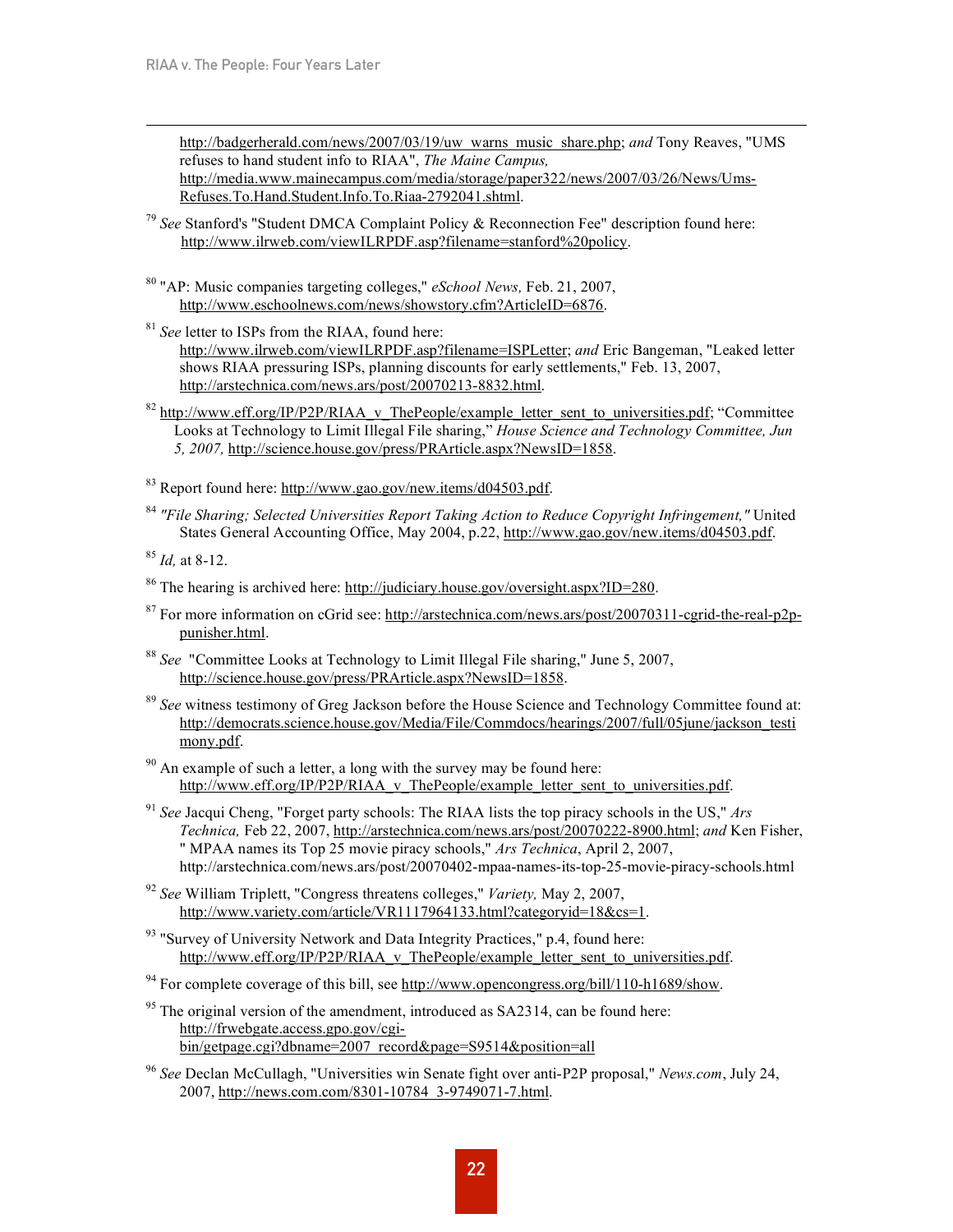http://badgerherald.com/news/2007/03/19/uw\_warns\_music\_share.php; *and* Tony Reaves, "UMS refuses to hand student info to RIAA", *The Maine Campus,* http://media.www.mainecampus.com/media/storage/paper322/news/2007/03/26/News/Ums-Refuses.To.Hand.Student.Info.To.Riaa-2792041.shtml.

- <sup>79</sup> *See* Stanford's "Student DMCA Complaint Policy & Reconnection Fee" description found here: http://www.ilrweb.com/viewILRPDF.asp?filename=stanford%20policy.
- <sup>80</sup> "AP: Music companies targeting colleges," *eSchool News,* Feb. 21, 2007, http://www.eschoolnews.com/news/showstory.cfm?ArticleID=6876.
- <sup>81</sup> *See* letter to ISPs from the RIAA, found here: http://www.ilrweb.com/viewILRPDF.asp?filename=ISPLetter; *and* Eric Bangeman, "Leaked letter shows RIAA pressuring ISPs, planning discounts for early settlements," Feb. 13, 2007, http://arstechnica.com/news.ars/post/20070213-8832.html.
- $82$  http://www.eff.org/IP/P2P/RIAA\_v\_ThePeople/example\_letter\_sent\_to\_universities.pdf; "Committee Looks at Technology to Limit Illegal File sharing," *House Science and Technology Committee, Jun 5, 2007,* http://science.house.gov/press/PRArticle.aspx?NewsID=1858.
- 83 Report found here: http://www.gao.gov/new.items/d04503.pdf.
- <sup>84</sup> *"File Sharing; Selected Universities Report Taking Action to Reduce Copyright Infringement,"* United States General Accounting Office, May 2004, p.22, http://www.gao.gov/new.items/d04503.pdf.

<sup>85</sup> *Id,* at 8-12.

- $86$  The hearing is archived here: http://judiciary.house.gov/oversight.aspx?ID=280.
- <sup>87</sup> For more information on cGrid see: http://arstechnica.com/news.ars/post/20070311-cgrid-the-real-p2ppunisher.html.
- <sup>88</sup> *See* "Committee Looks at Technology to Limit Illegal File sharing," June 5, 2007, http://science.house.gov/press/PRArticle.aspx?NewsID=1858.
- <sup>89</sup> *See* witness testimony of Greg Jackson before the House Science and Technology Committee found at: http://democrats.science.house.gov/Media/File/Commdocs/hearings/2007/full/05june/jackson\_testi mony.pdf.
- $90$  An example of such a letter, a long with the survey may be found here: http://www.eff.org/IP/P2P/RIAA\_v\_ThePeople/example\_letter\_sent\_to\_universities.pdf.
- <sup>91</sup> *See* Jacqui Cheng, "Forget party schools: The RIAA lists the top piracy schools in the US," *Ars Technica,* Feb 22, 2007, http://arstechnica.com/news.ars/post/20070222-8900.html; *and* Ken Fisher, " MPAA names its Top 25 movie piracy schools," *Ars Technica*, April 2, 2007, http://arstechnica.com/news.ars/post/20070402-mpaa-names-its-top-25-movie-piracy-schools.html
- <sup>92</sup> *See* William Triplett, "Congress threatens colleges," *Variety,* May 2, 2007, http://www.variety.com/article/VR1117964133.html?categoryid=18&cs=1.
- <sup>93</sup> "Survey of University Network and Data Integrity Practices," p.4, found here: http://www.eff.org/IP/P2P/RIAA\_v\_ThePeople/example\_letter\_sent\_to\_universities.pdf.
- $94$  For complete coverage of this bill, see http://www.opencongress.org/bill/110-h1689/show.
- $95$  The original version of the amendment, introduced as SA2314, can be found here: http://frwebgate.access.gpo.gov/cgibin/getpage.cgi?dbname=2007\_record&page=S9514&position=all
- <sup>96</sup> *See* Declan McCullagh, "Universities win Senate fight over anti-P2P proposal," *News.com*, July 24, 2007, http://news.com.com/8301-10784\_3-9749071-7.html.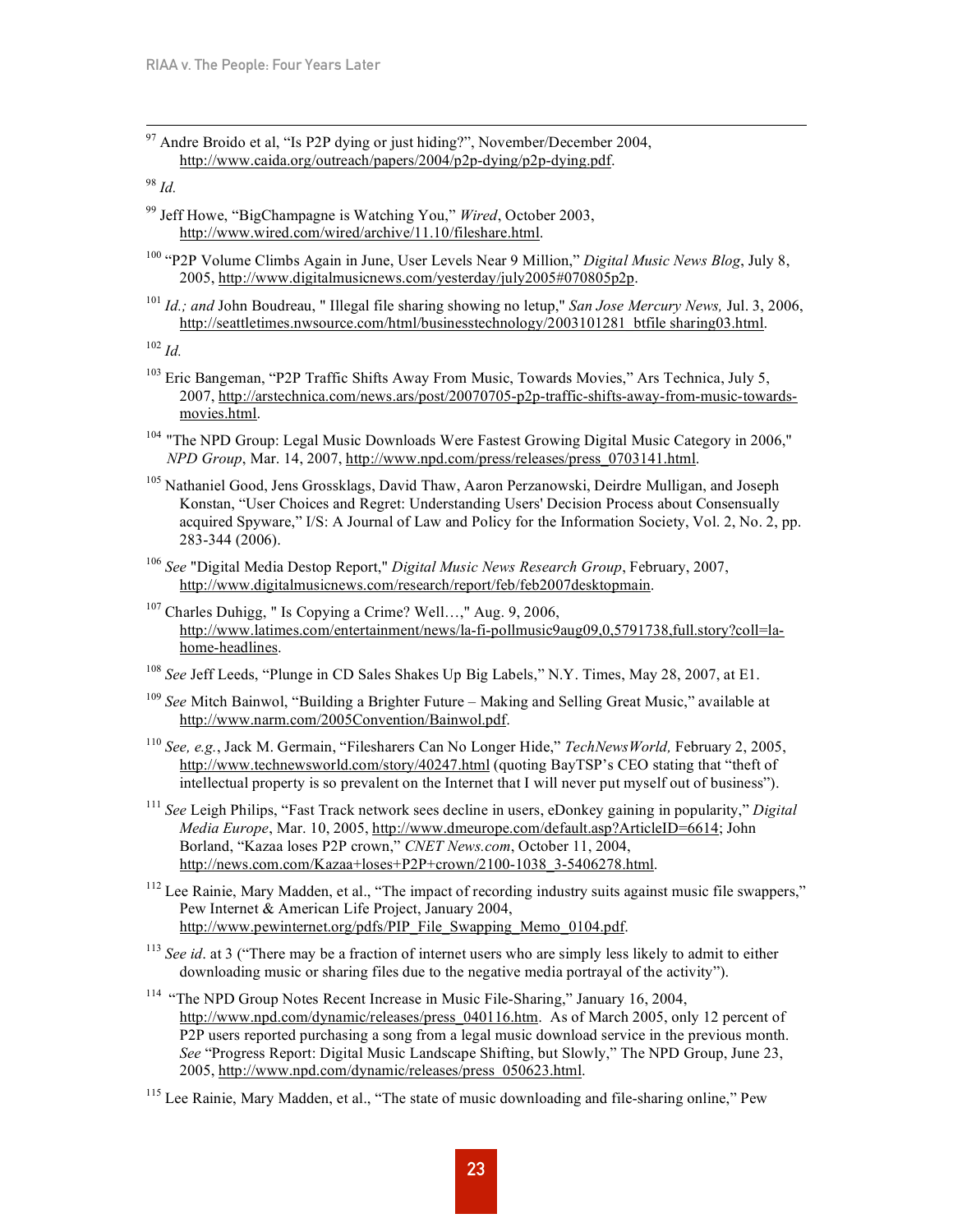<sup>97</sup> Andre Broido et al, "Is P2P dying or just hiding?", November/December 2004, http://www.caida.org/outreach/papers/2004/p2p-dying/p2p-dying.pdf.

<sup>98</sup> *Id.*

- <sup>99</sup> Jeff Howe, "BigChampagne is Watching You," *Wired*, October 2003, http://www.wired.com/wired/archive/11.10/fileshare.html.
- <sup>100</sup> "P2P Volume Climbs Again in June, User Levels Near 9 Million," *Digital Music News Blog*, July 8, 2005, http://www.digitalmusicnews.com/yesterday/july2005#070805p2p.
- <sup>101</sup> *Id.; and* John Boudreau, " Illegal file sharing showing no letup," *San Jose Mercury News,* Jul. 3, 2006, http://seattletimes.nwsource.com/html/businesstechnology/2003101281\_btfile sharing03.html.

<sup>102</sup> *Id.*

- <sup>103</sup> Eric Bangeman, "P2P Traffic Shifts Away From Music, Towards Movies," Ars Technica, July 5, 2007, http://arstechnica.com/news.ars/post/20070705-p2p-traffic-shifts-away-from-music-towardsmovies.html.
- <sup>104</sup> "The NPD Group: Legal Music Downloads Were Fastest Growing Digital Music Category in 2006," *NPD Group*, Mar. 14, 2007, http://www.npd.com/press/releases/press\_0703141.html.
- <sup>105</sup> Nathaniel Good, Jens Grossklags, David Thaw, Aaron Perzanowski, Deirdre Mulligan, and Joseph Konstan, "User Choices and Regret: Understanding Users' Decision Process about Consensually acquired Spyware," I/S: A Journal of Law and Policy for the Information Society, Vol. 2, No. 2, pp. 283-344 (2006).
- <sup>106</sup> *See* "Digital Media Destop Report," *Digital Music News Research Group*, February, 2007, http://www.digitalmusicnews.com/research/report/feb/feb2007desktopmain.
- $107$  Charles Duhigg, " Is Copying a Crime? Well...," Aug. 9, 2006, http://www.latimes.com/entertainment/news/la-fi-pollmusic9aug09,0,5791738,full.story?coll=lahome-headlines.
- <sup>108</sup> *See* Jeff Leeds, "Plunge in CD Sales Shakes Up Big Labels," N.Y. Times, May 28, 2007, at E1.
- <sup>109</sup> *See* Mitch Bainwol, "Building a Brighter Future Making and Selling Great Music," available at http://www.narm.com/2005Convention/Bainwol.pdf.
- <sup>110</sup> *See, e.g.*, Jack M. Germain, "Filesharers Can No Longer Hide," *TechNewsWorld,* February 2, 2005, http://www.technewsworld.com/story/40247.html (quoting BayTSP's CEO stating that "theft of intellectual property is so prevalent on the Internet that I will never put myself out of business").
- <sup>111</sup> *See* Leigh Philips, "Fast Track network sees decline in users, eDonkey gaining in popularity," *Digital Media Europe*, Mar. 10, 2005, http://www.dmeurope.com/default.asp?ArticleID=6614; John Borland, "Kazaa loses P2P crown," *CNET News.com*, October 11, 2004, http://news.com.com/Kazaa+loses+P2P+crown/2100-1038\_3-5406278.html.
- <sup>112</sup> Lee Rainie, Mary Madden, et al., "The impact of recording industry suits against music file swappers," Pew Internet & American Life Project, January 2004, http://www.pewinternet.org/pdfs/PIP\_File\_Swapping\_Memo\_0104.pdf.
- <sup>113</sup> *See id.* at 3 ("There may be a fraction of internet users who are simply less likely to admit to either downloading music or sharing files due to the negative media portrayal of the activity").
- <sup>114</sup> "The NPD Group Notes Recent Increase in Music File-Sharing," January 16, 2004, http://www.npd.com/dynamic/releases/press\_040116.htm. As of March 2005, only 12 percent of P2P users reported purchasing a song from a legal music download service in the previous month. *See* "Progress Report: Digital Music Landscape Shifting, but Slowly," The NPD Group, June 23, 2005, http://www.npd.com/dynamic/releases/press\_050623.html.
- <sup>115</sup> Lee Rainie, Mary Madden, et al., "The state of music downloading and file-sharing online," Pew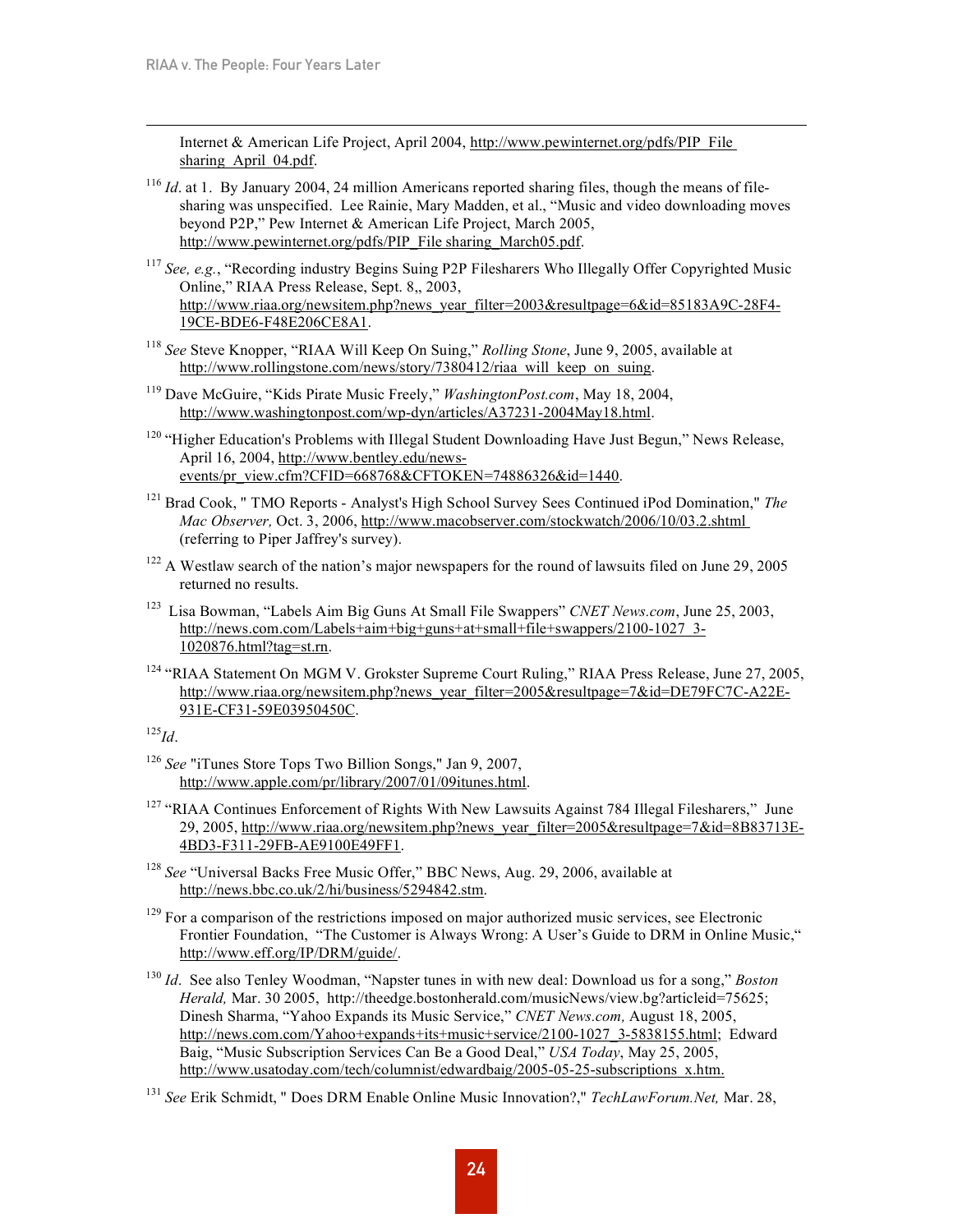Internet & American Life Project, April 2004, http://www.pewinternet.org/pdfs/PIP\_File sharing April 04.pdf.

- <sup>116</sup> *Id*. at 1. By January 2004, 24 million Americans reported sharing files, though the means of filesharing was unspecified. Lee Rainie, Mary Madden, et al., "Music and video downloading moves beyond P2P," Pew Internet & American Life Project, March 2005, http://www.pewinternet.org/pdfs/PIP\_File sharing\_March05.pdf.
- <sup>117</sup> *See, e.g.*, "Recording industry Begins Suing P2P Filesharers Who Illegally Offer Copyrighted Music Online," RIAA Press Release, Sept. 8,, 2003, http://www.riaa.org/newsitem.php?news\_year\_filter=2003&resultpage=6&id=85183A9C-28F4- 19CE-BDE6-F48E206CE8A1.
- <sup>118</sup> *See* Steve Knopper, "RIAA Will Keep On Suing," *Rolling Stone*, June 9, 2005, available at http://www.rollingstone.com/news/story/7380412/riaa\_will\_keep\_on\_suing.
- <sup>119</sup> Dave McGuire, "Kids Pirate Music Freely," *WashingtonPost.com*, May 18, 2004, http://www.washingtonpost.com/wp-dyn/articles/A37231-2004May18.html.
- <sup>120</sup> "Higher Education's Problems with Illegal Student Downloading Have Just Begun," News Release, April 16, 2004, http://www.bentley.edu/newsevents/pr\_view.cfm?CFID=668768&CFTOKEN=74886326&id=1440.
- <sup>121</sup> Brad Cook, " TMO Reports Analyst's High School Survey Sees Continued iPod Domination," *The Mac Observer,* Oct. 3, 2006, http://www.macobserver.com/stockwatch/2006/10/03.2.shtml (referring to Piper Jaffrey's survey).
- <sup>122</sup> A Westlaw search of the nation's major newspapers for the round of lawsuits filed on June 29, 2005 returned no results.
- <sup>123</sup> Lisa Bowman, "Labels Aim Big Guns At Small File Swappers" *CNET News.com*, June 25, 2003, http://news.com.com/Labels+aim+big+guns+at+small+file+swappers/2100-1027\_3-1020876.html?tag=st.rn.
- <sup>124</sup> "RIAA Statement On MGM V. Grokster Supreme Court Ruling," RIAA Press Release, June 27, 2005, http://www.riaa.org/newsitem.php?news\_year\_filter=2005&resultpage=7&id=DE79FC7C-A22E-931E-CF31-59E03950450C.

125 *Id*.

- <sup>126</sup> *See* "iTunes Store Tops Two Billion Songs," Jan 9, 2007, http://www.apple.com/pr/library/2007/01/09itunes.html.
- <sup>127</sup> "RIAA Continues Enforcement of Rights With New Lawsuits Against 784 Illegal Filesharers," June 29, 2005, http://www.riaa.org/newsitem.php?news\_year\_filter=2005&resultpage=7&id=8B83713E-4BD3-F311-29FB-AE9100E49FF1.
- <sup>128</sup> *See* "Universal Backs Free Music Offer," BBC News, Aug. 29, 2006, available at http://news.bbc.co.uk/2/hi/business/5294842.stm.
- $129$  For a comparison of the restrictions imposed on major authorized music services, see Electronic Frontier Foundation, "The Customer is Always Wrong: A User's Guide to DRM in Online Music," http://www.eff.org/IP/DRM/guide/.
- <sup>130</sup> *Id*. See also Tenley Woodman, "Napster tunes in with new deal: Download us for a song," *Boston Herald,* Mar. 30 2005, http://theedge.bostonherald.com/musicNews/view.bg?articleid=75625; Dinesh Sharma, "Yahoo Expands its Music Service," *CNET News.com,* August 18, 2005, http://news.com.com/Yahoo+expands+its+music+service/2100-1027\_3-5838155.html; Edward Baig, "Music Subscription Services Can Be a Good Deal," *USA Today*, May 25, 2005, http://www.usatoday.com/tech/columnist/edwardbaig/2005-05-25-subscriptions\_x.htm.

<sup>131</sup> *See* Erik Schmidt, " Does DRM Enable Online Music Innovation?," *TechLawForum.Net,* Mar. 28,